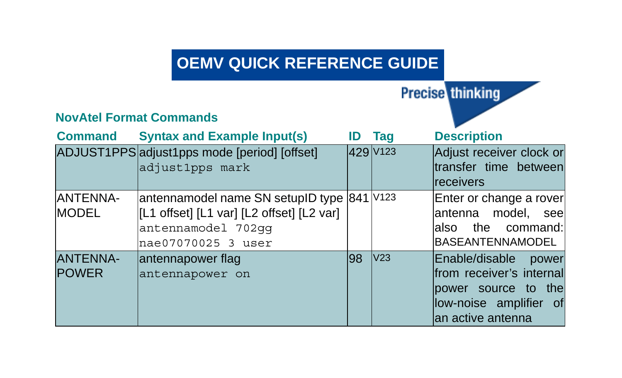## **OEMV QUICK REFERENCE GUIDE**

**Precise thinking** 

## **NovAtel Format Commands Command Syntax and Example Input(s) ID Tag Description** ADJUST1PPS adjust1pps mode [period] [offset] adjust1pps mark 429 V123 Adjust receiver clock or transfer time between receivers ANTENNA-MODEL antennamodel name SN setupID type 841 V123 [L1 offset] [L1 var] [L2 offset] [L2 var] antennamodel 702gg nae07070025 3 user Enter or change a rover antenna model, see also the command: **BASEANTENNAMODEL** ANTENNA-POWER antennapower flag antennapower on 98 V23 Enable/disable power from receiver's internal power source to the low-noise amplifier of an active antenna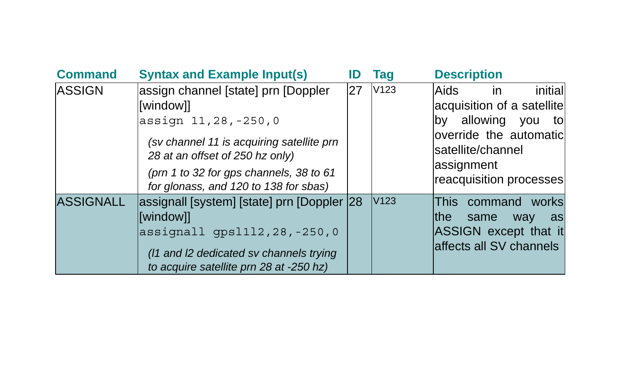| <b>Command</b>   | <b>Syntax and Example Input(s)</b>                                                                                                                                                                                                          |    | Taq              | <b>Description</b>                                                                                                                                                           |
|------------------|---------------------------------------------------------------------------------------------------------------------------------------------------------------------------------------------------------------------------------------------|----|------------------|------------------------------------------------------------------------------------------------------------------------------------------------------------------------------|
| <b>ASSIGN</b>    | assign channel [state] prn [Doppler<br>[window]]<br>assign 11,28,-250,0<br>(sv channel 11 is acquiring satellite prn<br>28 at an offset of 250 hz only)<br>(prn 1 to 32 for gps channels, 38 to 61<br>for glonass, and 120 to 138 for sbas) | 27 | V <sub>123</sub> | initial<br>Aids<br>in<br>acquisition of a satellite<br>allowing<br>by<br>vou<br>tol<br>override the automatic<br>lsatellite/channel<br>assignment<br>reacquisition processes |
| <b>ASSIGNALL</b> | assignall [system] [state] prn [Doppler 28<br>[window]]<br>assignall gps1112, 28, -250, 0<br>(11 and I2 dedicated sv channels trying<br>to acquire satellite prn 28 at -250 hz)                                                             |    | V <sub>123</sub> | This.<br>command works<br>lthe<br>same<br>way<br>as<br>ASSIGN except that it<br>affects all SV channels                                                                      |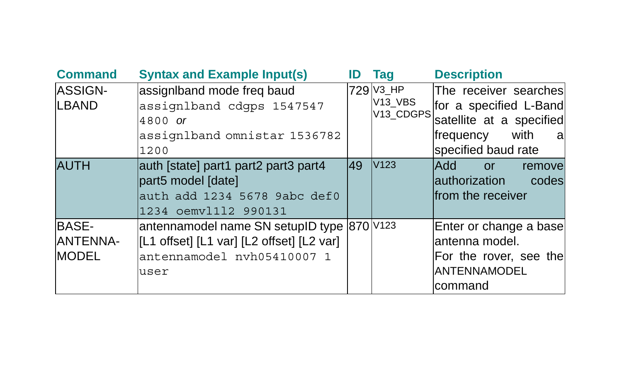| <b>Command</b>                                  | <b>Syntax and Example Input(s)</b>                                                                                            | ID | Taq                                           | <b>Description</b>                                                                                                           |
|-------------------------------------------------|-------------------------------------------------------------------------------------------------------------------------------|----|-----------------------------------------------|------------------------------------------------------------------------------------------------------------------------------|
| <b>ASSIGN-</b><br>LBAND                         | assigniband mode freg baud<br>assignlband cdgps 1547547<br>4800 or<br>assignlband omnistar 1536782<br>1200                    |    | 729 V3_HP<br>V <sub>13</sub> VBS<br>V13_CDGPS | The receiver searches<br>for a specified L-Band<br>satellite at a specified<br>with<br>frequency<br>a<br>specified baud rate |
| <b>AUTH</b>                                     | auth [state] part1 part2 part3 part4<br>part5 model [date]<br>auth add 1234 5678 9abc def0<br>1234 oemvl112 990131            | 49 | V123                                          | <b>hhAl</b><br><b>or</b><br>removel<br>authorization<br>codes<br>from the receiver                                           |
| <b>BASE-</b><br><b>ANTENNA-</b><br><b>MODEL</b> | antennamodel name SN setupID type 870 V123<br>[L1 offset] [L1 var] [L2 offset] [L2 var]<br>antennamodel nvh05410007 1<br>user |    |                                               | Enter or change a base<br>lantenna model.<br>For the rover, see the<br><b>IANTENNAMODEL</b><br>lcommand                      |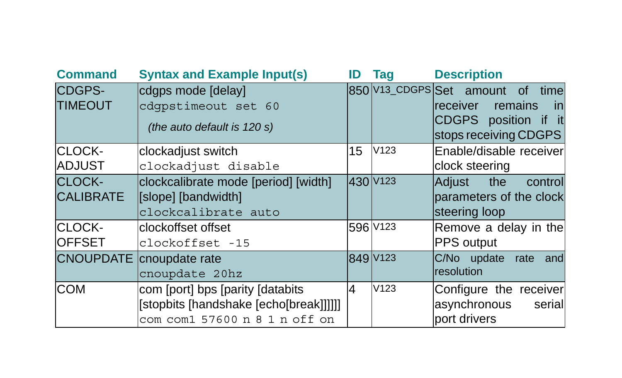| <b>Command</b>                    | <b>Syntax and Example Input(s)</b>                                                                           | ID | Tag                  | <b>Description</b>                                                                                              |
|-----------------------------------|--------------------------------------------------------------------------------------------------------------|----|----------------------|-----------------------------------------------------------------------------------------------------------------|
| CDGPS-<br><b>TIMEOUT</b>          | cdgps mode [delay]<br>cdqpstimeout set 60<br>(the auto default is 120 s)                                     |    |                      | 850 V13_CDGPS Set amount of time<br>receiver<br>remains<br>inl<br>CDGPS position if it<br>stops receiving CDGPS |
| CLOCK-<br><b>ADJUST</b>           | clockadjust switch<br>clockadjust disable                                                                    | 15 | V <sub>123</sub>     | Enable/disable receiver<br>clock steering                                                                       |
| <b>CLOCK-</b><br><b>CALIBRATE</b> | clockcalibrate mode [period] [width]<br>[slope] [bandwidth]<br>clockcalibrate auto                           |    | 430 V123             | Adjust the<br>control<br>parameters of the clock<br>steering loop                                               |
| CLOCK-<br><b>OFFSET</b>           | clockoffset offset<br>clockoffset -15                                                                        |    | 596 V <sub>123</sub> | Remove a delay in the<br>PPS output                                                                             |
|                                   | <b>CNOUPDATE</b> cnoupdate rate<br>cnoupdate 20hz                                                            |    | 849 V123             | C/No update rate<br>and<br>resolution                                                                           |
| <b>COM</b>                        | com [port] bps [parity [databits]<br>[stopbits [handshake [echo[break]]]]]]<br>com com1 57600 n 8 1 n off on | 4  | V123                 | Configure the receiver<br>asynchronous<br>serial<br>port drivers                                                |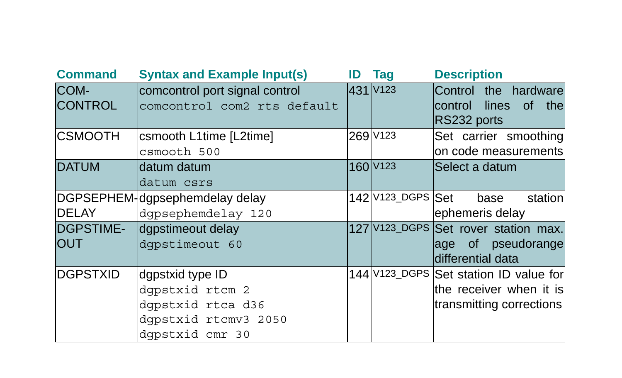| <b>Command</b>                 | <b>Syntax and Example Input(s)</b>                                                                  | ID | Taq                  | <b>Description</b>                                                                              |
|--------------------------------|-----------------------------------------------------------------------------------------------------|----|----------------------|-------------------------------------------------------------------------------------------------|
| COM-<br><b>CONTROL</b>         | comcontrol port signal control<br>comcontrol com2 rts default                                       |    | 431 V123             | Control the hardware<br>lines<br>0f<br>the<br>Icontrol<br>RS232 ports                           |
| <b>CSMOOTH</b>                 | csmooth L1time [L2time]<br>csmooth 500                                                              |    | 269 V123             | Set carrier smoothing<br>on code measurements                                                   |
| <b>DATUM</b>                   | datum datum<br>datum csrs                                                                           |    | 160 V <sub>123</sub> | Select a datum                                                                                  |
| <b>DELAY</b>                   | DGPSEPHEM-dgpsephemdelay delay<br>dqpsephemdelay 120                                                |    | 142 V123_DGPS Set    | station<br>base<br>ephemeris delay                                                              |
| <b>DGPSTIME-</b><br><b>OUT</b> | dgpstimeout delay<br>dqpstimeout 60                                                                 |    |                      | 127 V123_DGPS Set rover station max.<br>age of pseudorange<br>differential data                 |
| <b>IDGPSTXID</b>               | dgpstxid type ID<br>dqpstxid rtcm 2<br>dqpstxid rtca d36<br>dqpstxid rtcmv3 2050<br>dqpstxid cmr 30 |    |                      | 144 V123_DGPS Set station ID value for<br>lthe receiver when it isl<br>transmitting corrections |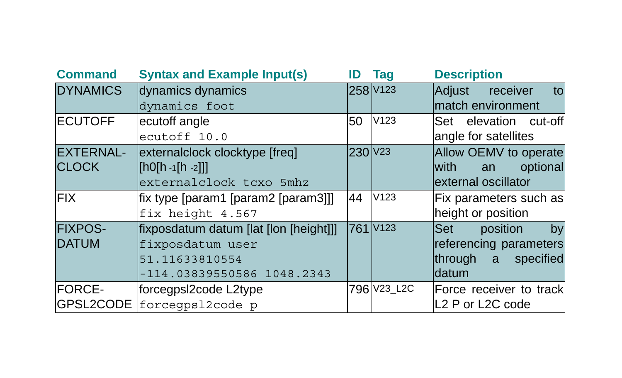| <b>Command</b>   | <b>Syntax and Example Input(s)</b>                                           | ID                  | <b>Tag</b>       | <b>Description</b>                        |
|------------------|------------------------------------------------------------------------------|---------------------|------------------|-------------------------------------------|
| <b>DYNAMICS</b>  | dynamics dynamics                                                            |                     | 258 V123         | to<br>Adjust<br>receiver                  |
|                  | dynamics foot                                                                |                     |                  | match environment                         |
| <b>ECUTOFF</b>   | ecutoff angle                                                                | 50                  | V <sub>123</sub> | Set elevation cut-off                     |
|                  | ecutoff 10.0                                                                 |                     |                  | angle for satellites                      |
| <b>EXTERNAL-</b> | externalclock clocktype [freq]                                               | 230 V <sub>23</sub> |                  | Allow OEMV to operate                     |
| <b>CLOCK</b>     | $\left[\left\lceil h0\right\rceil h - 1\left\lceil h - 2\right\rceil\right]$ |                     |                  | optional<br><b>with</b><br>an             |
|                  | externalclock tcxo 5mhz                                                      |                     |                  | external oscillator                       |
| <b>FIX</b>       | fix type [param1 [param2 [param3]]]                                          | 44                  | V123             | Fix parameters such as                    |
|                  | fix height 4.567                                                             |                     |                  | height or position                        |
| <b>FIXPOS-</b>   | fixposdatum datum [lat [lon [height]]]                                       |                     | 761 V123         | <b>Set</b><br>position<br>by              |
| <b>DATUM</b>     | fixposdatum user                                                             |                     |                  | referencing parameters                    |
|                  | 51.11633810554                                                               |                     |                  | through a specified                       |
|                  | -114.03839550586 1048.2343                                                   |                     |                  | datum                                     |
| <b>FORCE-</b>    | forcegpsl2code L2type                                                        |                     | 796 V23_L2C      | Force receiver to track                   |
|                  | GPSL2CODE forcegps12code p                                                   |                     |                  | L <sub>2</sub> P or L <sub>2</sub> C code |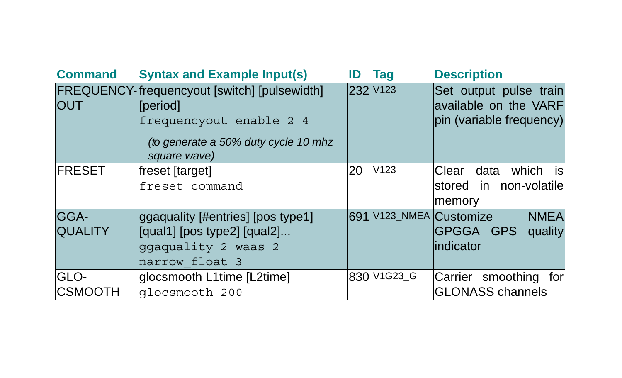| <b>Command</b>         | <b>Syntax and Example Input(s)</b>                                                                                                                         | ID | Taq                  | <b>Description</b>                                                          |
|------------------------|------------------------------------------------------------------------------------------------------------------------------------------------------------|----|----------------------|-----------------------------------------------------------------------------|
| <b>OUT</b>             | FREQUENCY-frequencyout [switch] [pulsewidth]<br><i><b>I</b></i> Deriodl<br>frequencyout enable 2 4<br>(to generate a 50% duty cycle 10 mhz<br>square wave) |    | 232 V <sub>123</sub> | Set output pulse train<br>available on the VARF<br>pin (variable frequency) |
| <b>FRESET</b>          | freset [target]<br>freset command                                                                                                                          | 20 | V123                 | is<br>which<br>Clear data<br>stored in non-volatile<br>memory               |
| GGA-<br><b>QUALITY</b> | ggaquality [#entries] [pos type1]<br>[qual1] [pos type2] [qual2]<br>qqaquality 2 waas 2<br>narrow float 3                                                  |    |                      | 691 V123_NMEA Customize<br><b>NMEA</b><br>GPGGA GPS<br>quality<br>indicator |
| GLO-<br><b>CSMOOTH</b> | glocsmooth L1time [L2time]<br>qlocsmooth 200                                                                                                               |    | 830 V1G23_G          | Carrier smoothing for<br><b>GLONASS channels</b>                            |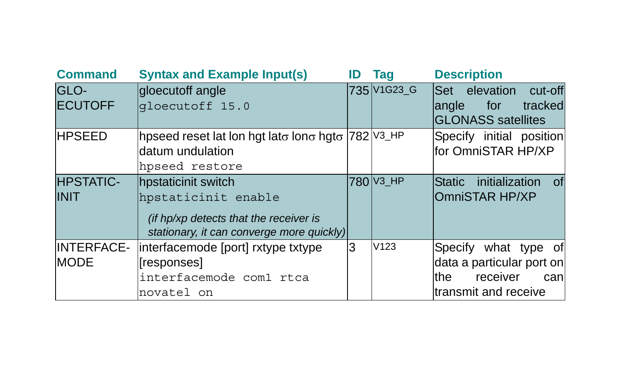| <b>Command</b>    | <b>Syntax and Example Input(s)</b>                 | ID | Tag                                             | <b>Description</b>                    |
|-------------------|----------------------------------------------------|----|-------------------------------------------------|---------------------------------------|
| GLO-              | gloecutoff angle                                   |    | 735 V <sub>1</sub> G <sub>23</sub> <sub>G</sub> | Set elevation cut-off                 |
| <b>ECUTOFF</b>    | qloecutoff 15.0                                    |    |                                                 | tracked<br>langle<br>for              |
|                   |                                                    |    |                                                 | <b>GLONASS</b> satellites             |
| <b>HPSEED</b>     | hpseed reset lat lon hgt lato lono hgto  782 V3_HP |    |                                                 | Specify initial position              |
|                   | datum undulation                                   |    |                                                 | for OmniSTAR HP/XP                    |
|                   | hpseed restore                                     |    |                                                 |                                       |
| <b>HPSTATIC-</b>  | hpstaticinit switch                                |    | 780 V3_HP                                       | initialization<br><b>Static</b><br>of |
| <b>INIT</b>       | hpstaticinit enable                                |    |                                                 | OmniSTAR HP/XP                        |
|                   | (if hp/xp detects that the receiver is             |    |                                                 |                                       |
|                   | stationary, it can converge more quickly)          |    |                                                 |                                       |
| <b>INTERFACE-</b> | interfacemode [port] rxtype txtype                 | lЗ | V123                                            | Specify what type of                  |
| <b>MODE</b>       | [responses]                                        |    |                                                 | data a particular port on             |
|                   | interfacemode com1 rtca                            |    |                                                 | the<br>receiver<br>can                |
|                   | novatel on                                         |    |                                                 | ltransmit and receive                 |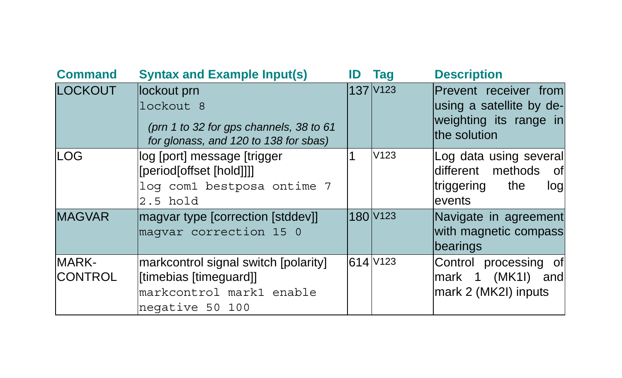| <b>Command</b>          | <b>Syntax and Example Input(s)</b>                                                                            | ID | Tag                  | <b>Description</b>                                                                          |
|-------------------------|---------------------------------------------------------------------------------------------------------------|----|----------------------|---------------------------------------------------------------------------------------------|
| <b>LOCKOUT</b>          | lockout prn<br>lockout 8<br>(prn 1 to 32 for gps channels, 38 to 61<br>for glonass, and 120 to 138 for sbas)  |    | 137 V <sub>123</sub> | Prevent receiver from<br>using a satellite by de-<br>weighting its range in<br>the solution |
| <b>LOG</b>              | log [port] message [trigger<br>[period[offset [hold]]]]<br>log com1 bestposa ontime 7<br>$2.5$ hold           |    | V123                 | Log data using several<br>different methods<br>of<br> triggering<br>the<br>log<br>events    |
| <b>MAGVAR</b>           | magvar type [correction [stddev]]<br>maqvar correction 15 0                                                   |    | 180 V <sub>123</sub> | Navigate in agreement<br>with magnetic compass<br>bearings                                  |
| MARK-<br><b>CONTROL</b> | markcontrol signal switch [polarity]<br>[timebias [timeguard]]<br>markcontrol mark1 enable<br>negative 50 100 |    | 614 V123             | Control processing of<br>mark 1 (MK1I) and<br>mark 2 (MK2I) inputs                          |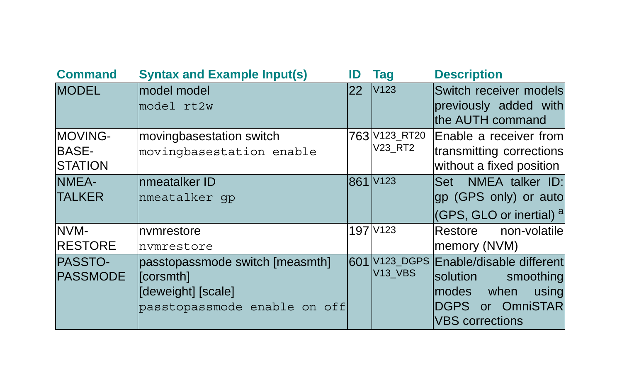| <b>Command</b>                            | <b>Syntax and Example Input(s)</b>                                                                    | ID  | Taq                              | <b>Description</b>                                                                                                                  |
|-------------------------------------------|-------------------------------------------------------------------------------------------------------|-----|----------------------------------|-------------------------------------------------------------------------------------------------------------------------------------|
| <b>MODEL</b>                              | model model<br>model rt2w                                                                             | 22  | V <sub>123</sub>                 | Switch receiver models<br>previously added with<br>the AUTH command                                                                 |
| MOVING-<br><b>BASE-</b><br><b>STATION</b> | movingbasestation switch<br>movingbasestation enable                                                  |     | 763 V123_RT20<br>V23_RT2         | Enable a receiver froml<br>transmitting corrections<br>without a fixed position                                                     |
| NMEA-<br><b>TALKER</b>                    | Inmeatalker ID<br>nmeatalker qp                                                                       |     | 861 V123                         | Set NMEA talker ID:<br>gp (GPS only) or auto<br>(GPS, GLO or inertial) <sup>a</sup>                                                 |
| NVM-<br><b>RESTORE</b>                    | Invmrestore<br>nvmrestore                                                                             |     | 197 V123                         | non-volatile<br>Restore<br>memory (NVM)                                                                                             |
| <b>PASSTO-</b><br><b>PASSMODE</b>         | passtopassmode switch [measmth]<br>[constraint]<br>[deweight] [scale]<br>passtopassmode enable on off | 601 | V123 DGPS<br>V <sub>13</sub> VBS | Enable/disable different<br>solution<br>smoothing<br>when<br>modes<br>using<br>or OmniSTAR<br><b>DGPS</b><br><b>VBS</b> corrections |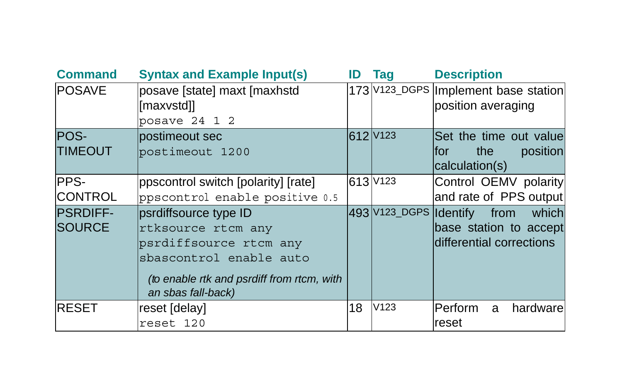| <b>Command</b>                   | <b>Syntax and Example Input(s)</b>                                                                                                                                   | ID | Taq                    | <b>Description</b>                                                  |
|----------------------------------|----------------------------------------------------------------------------------------------------------------------------------------------------------------------|----|------------------------|---------------------------------------------------------------------|
| <b>POSAVE</b>                    | posave [state] maxt [maxhstd<br>[maxvstd]]                                                                                                                           |    |                        | 173 V123_DGPS  Implement base station<br>position averaging         |
|                                  | posave $24$ 1 2                                                                                                                                                      |    |                        |                                                                     |
| POS-<br><b>TIMEOUT</b>           | lpostimeout sec<br>postimeout 1200                                                                                                                                   |    | 612 V123               | Set the time out value<br>position<br>the<br>lfor<br>calculation(s) |
| PPS-<br><b>CONTROL</b>           | ppscontrol switch [polarity] [rate]<br>ppscontrol enable positive 0.5                                                                                                |    | 613 V123               | Control OEMV polarity<br>and rate of PPS output                     |
| <b>PSRDIFF-</b><br><b>SOURCE</b> | psrdiffsource type ID<br>rtksource rtcm any<br>psrdiffsource rtcm any<br>sbascontrol enable auto<br>(to enable rtk and psrdiff from rtcm, with<br>an sbas fall-back) |    | 493 V123_DGPS Identify | which<br>from<br>base station to accept<br>differential corrections |
| <b>RESET</b>                     | reset [delay]<br>reset 120                                                                                                                                           | 18 | V123                   | Perform<br>hardwarel<br>a<br>reset                                  |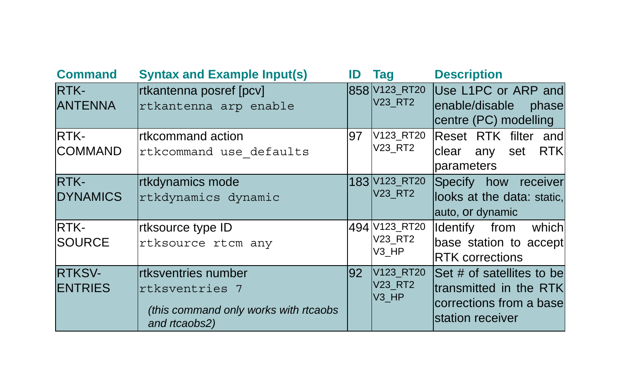| <b>Command</b>                  | <b>Syntax and Example Input(s)</b>                                                              | ID | Taq                                       | <b>Description</b>                                                                                    |
|---------------------------------|-------------------------------------------------------------------------------------------------|----|-------------------------------------------|-------------------------------------------------------------------------------------------------------|
| RTK-<br><b>ANTENNA</b>          | rtkantenna posref [pcv]<br>rtkantenna arp enable                                                |    | 858 V123_RT20<br><b>V23_RT2</b>           | Use L1PC or ARP and<br>enable/disable<br>phase<br>centre (PC) modelling                               |
| RTK-<br><b>COMMAND</b>          | <b>Irtkcommand action</b><br>rtkcommand use defaults                                            | 97 | V123_RT20<br>V23 RT2                      | Reset RTK filter and<br><b>RTKI</b><br>clear<br>any set<br>parameters                                 |
| RTK-<br><b>DYNAMICS</b>         | rtkdynamics mode<br>rtkdynamics dynamic                                                         |    | 183 V123_RT20<br>V23 RT2                  | Specify how receiver<br>looks at the data: static,<br>auto, or dynamic                                |
| RTK-<br><b>SOURCE</b>           | rtksource type ID<br>rtksource rtcm any                                                         |    | 494 V123_RT20<br>V23_RT2<br>V3 HP         | Identify from which<br>base station to accept<br><b>RTK</b> corrections                               |
| <b>RTKSV-</b><br><b>ENTRIES</b> | rtksventries number<br>rtksventries 7<br>(this command only works with rtcaobs<br>and rtcaobs2) | 92 | V123 RT20<br>V23 RT2<br>V <sub>3</sub> HP | Set # of satellites to be<br>ltransmitted in the RTKI<br>corrections from a basel<br>station receiver |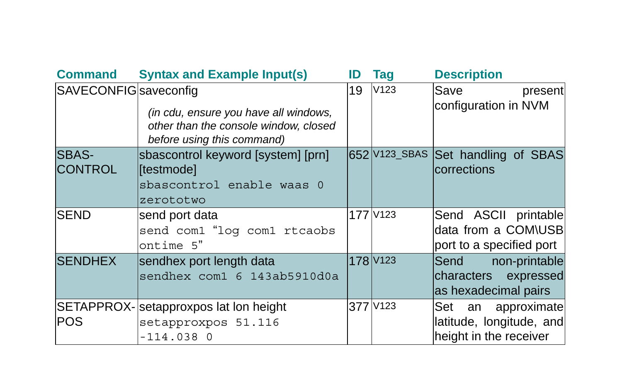| <b>Command</b>               | <b>Syntax and Example Input(s)</b>                                                                           | ID | Tag                  | <b>Description</b>                                                          |
|------------------------------|--------------------------------------------------------------------------------------------------------------|----|----------------------|-----------------------------------------------------------------------------|
| <b>SAVECONFIG</b> saveconfig | (in cdu, ensure you have all windows,<br>other than the console window, closed<br>before using this command) | 19 | V123                 | Save<br>present<br>configuration in NVM                                     |
| SBAS-<br><b>CONTROL</b>      | sbascontrol keyword [system] [prn]<br>[testmode]<br>sbascontrol enable waas 0<br>zerototwo                   |    |                      | 652 V123_SBAS Set handling of SBAS<br>corrections                           |
| <b>SEND</b>                  | send port data<br>send com1 "log com1 rtcaobs<br>ontime 5"                                                   |    | 177 V123             | Send ASCII printable<br>data from a COM\USB<br>port to a specified port     |
| <b>SENDHEX</b>               | sendhex port length data<br>sendhex com1 6 143ab5910d0a                                                      |    | 178 V <sub>123</sub> | Send<br>non-printable<br>characters expressed<br>as hexadecimal pairs       |
| <b>POS</b>                   | SETAPPROX-Setapproxpos lat lon height<br>setapproxpos 51.116<br>$-114.038$ 0                                 |    | 377 V123             | Set<br>an approximate<br>latitude, longitude, and<br>height in the receiver |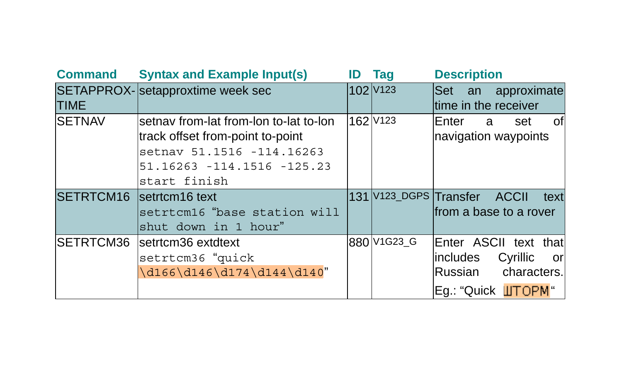| <b>Command</b>           | <b>Syntax and Example Input(s)</b>                                                                                                                     | ID | Taq                  | <b>Description</b>                                                                                   |
|--------------------------|--------------------------------------------------------------------------------------------------------------------------------------------------------|----|----------------------|------------------------------------------------------------------------------------------------------|
| <b>TIME</b>              | SETAPPROX-Setapproxtime week sec                                                                                                                       |    | 102 V <sub>123</sub> | Set an approximate<br>time in the receiver                                                           |
| <b>SETNAV</b>            | lsetnav from-lat from-lon to-lat to-lon<br>track offset from-point to-point<br>setnav 51.1516 -114.16263<br>51.16263 -114.1516 -125.23<br>start finish |    | 162 V <sub>123</sub> | of<br>Enter<br>set<br>a a<br>navigation waypoints                                                    |
| SETRTCM16 setrtcm16 text | setrtcm16 "base station will<br>shut down in 1 hour"                                                                                                   |    |                      | 131 V123_DGPS Transfer ACCII<br>text<br>lfrom a base to a rover                                      |
| SETRTCM36                | setrtcm36 extdtext<br>setrtcm36 "quick<br>\d166\d146\d174\d144\d140"                                                                                   |    | 880 V1G23_G          | Enter ASCII text that<br>includes<br>Cyrillic<br>orl<br>Russian<br>characters.<br>Eg.: "Quick UTOPM" |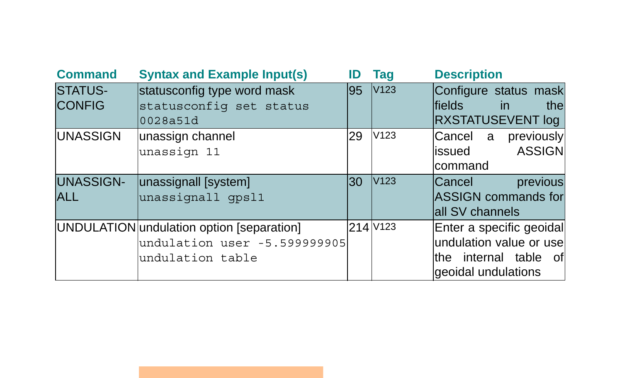| <b>Command</b>                  | <b>Syntax and Example Input(s)</b>                                                            | ID  | Taq              | <b>Description</b>                                                                                  |
|---------------------------------|-----------------------------------------------------------------------------------------------|-----|------------------|-----------------------------------------------------------------------------------------------------|
| <b>STATUS-</b><br><b>CONFIG</b> | statusconfig type word mask<br>statusconfiq set status<br>0028a51d                            | 195 | V <sub>123</sub> | Configure status mask<br><b>Ifields</b><br><i>in</i><br>the<br>RXSTATUSEVENT log                    |
| <b>UNASSIGN</b>                 | unassign channel<br>unassign 11                                                               | 29  | V123             | Cancel a<br>previously<br><b>ASSIGN</b><br>issued<br>command                                        |
| UNASSIGN-<br><b>ALL</b>         | unassignall [system]<br>unassignall gpsl1                                                     | 30  | V123             | previous<br>Cancel<br><b>ASSIGN commands for</b><br>all SV channels                                 |
|                                 | UNDULATION undulation option [separation]<br>undulation user -5.599999905<br>undulation table |     | $214$ $V123$     | Enter a specific geoidal<br>undulation value or use<br>the internal table of<br>geoidal undulations |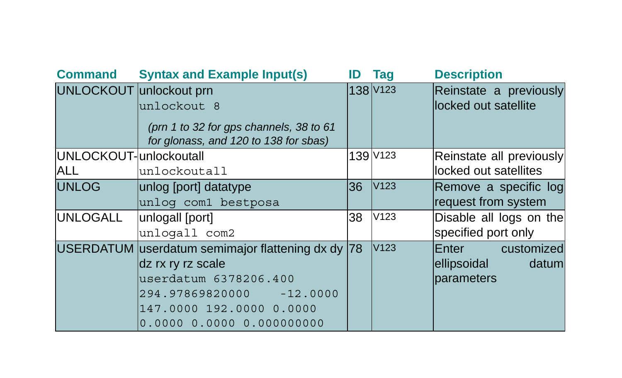| <b>Command</b>          | <b>Syntax and Example Input(s)</b>                                                              | ID | Tag                  | <b>Description</b>                             |
|-------------------------|-------------------------------------------------------------------------------------------------|----|----------------------|------------------------------------------------|
| UNLOCKOUT unlockout prn | unlockout 8<br>(prn 1 to 32 for gps channels, 38 to 61<br>for glonass, and 120 to 138 for sbas) |    | 138 V <sub>123</sub> | Reinstate a previously<br>locked out satellite |
| UNLOCKOUT-unlockoutall  |                                                                                                 |    | 139 V123             | Reinstate all previously                       |
| <b>ALL</b>              | unlockoutall                                                                                    |    |                      | locked out satellites                          |
| <b>UNLOG</b>            | unlog [port] datatype                                                                           | 36 | V <sub>123</sub>     | Remove a specific log                          |
|                         | unlog com1 bestposa                                                                             |    |                      | request from system                            |
| <b>UNLOGALL</b>         | unlogall [port]                                                                                 | 38 | V <sub>123</sub>     | Disable all logs on the                        |
|                         | unlogall com2                                                                                   |    |                      | specified port only                            |
|                         | USERDATUM userdatum semimajor flattening dx dy  78                                              |    | V123                 | customized<br>Enter                            |
|                         | dz rx ry rz scale                                                                               |    |                      | datuml<br>ellipsoidal                          |
|                         | userdatum 6378206.400                                                                           |    |                      | parameters                                     |
|                         | 294.97869820000 -12.0000                                                                        |    |                      |                                                |
|                         | 147.0000 192.0000 0.0000                                                                        |    |                      |                                                |
|                         |                                                                                                 |    |                      |                                                |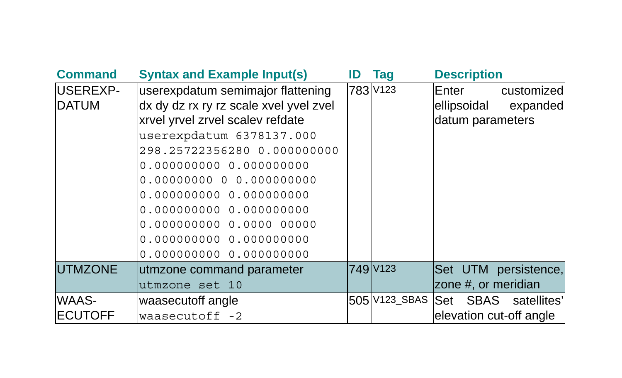| <b>Command</b>  | <b>Syntax and Example Input(s)</b>     | ID | Taq                  | <b>Description</b>      |                       |
|-----------------|----------------------------------------|----|----------------------|-------------------------|-----------------------|
| USEREXP-        | userexpdatum semimajor flattening      |    | 783 V123             | Enter                   | customized            |
| DATUM           | dx dy dz rx ry rz scale xvel yvel zvel |    |                      | ellipsoidal             | expanded              |
|                 | xrvel yrvel zrvel scalev refdate       |    |                      | datum parameters        |                       |
|                 | userexpdatum 6378137.000               |    |                      |                         |                       |
|                 | 298.25722356280 0.000000000            |    |                      |                         |                       |
|                 | 0.000000000  0.000000000               |    |                      |                         |                       |
|                 |                                        |    |                      |                         |                       |
|                 |                                        |    |                      |                         |                       |
|                 | 0.000000000  0.000000000               |    |                      |                         |                       |
|                 |                                        |    |                      |                         |                       |
|                 | 0.000000000  0.000000000               |    |                      |                         |                       |
|                 |                                        |    |                      |                         |                       |
| <b>UTMZONE</b>  | utmzone command parameter              |    | 749 V <sub>123</sub> |                         | Set UTM persistence,  |
|                 | utmzone set 10                         |    |                      | zone #, or meridian     |                       |
| WAAS-           | waasecutoff angle                      |    | 505 V123_SBAS        |                         | Set SBAS satellites'l |
| <b>IECUTOFF</b> | waasecutoff -2                         |    |                      | elevation cut-off angle |                       |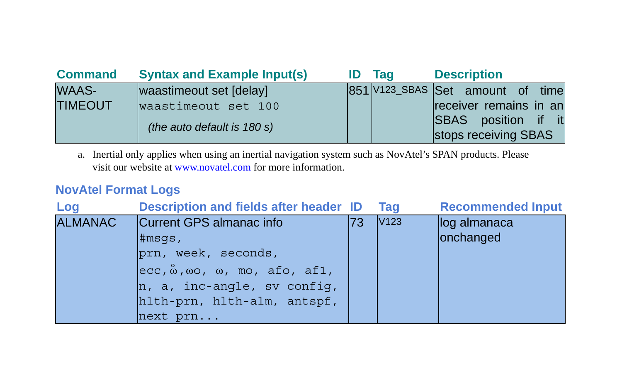| <b>Command</b> | <b>Syntax and Example Input(s)</b> | ID. | Tag | <b>Description</b>               |  |
|----------------|------------------------------------|-----|-----|----------------------------------|--|
| <b>WAAS-</b>   | waastimeout set [delay]            |     |     | 851 V123_SBAS Set amount of time |  |
| <b>TIMEOUT</b> | waastimeout set 100                |     |     | receiver remains in an           |  |
|                | (the auto default is 180 s)        |     |     | <b>SBAS</b> position if it       |  |
|                |                                    |     |     | stops receiving SBAS             |  |

a. Inertial only applies when using an inertial navigation system such as NovAtel's SPAN products. Please visit our website at [www.novatel.com](http://www.novatel.com) for more information.

## **NovAtel Format Logs**

| Log            | <b>Description and fields after header ID</b>                                                                                                                                                                                                                                                                                                                |    | Tag              | <b>Recommended Input</b>  |
|----------------|--------------------------------------------------------------------------------------------------------------------------------------------------------------------------------------------------------------------------------------------------------------------------------------------------------------------------------------------------------------|----|------------------|---------------------------|
| <b>ALMANAC</b> | Current GPS almanac info<br>$\sharp$ msqs,<br>prn, week, seconds,<br>$ $ ecc, $\stackrel{\circ}{\omega}$ , $\omega$ o, $\omega$ , $\stackrel{\circ}{\omega}$ , $\stackrel{\circ}{\omega}$ , $\stackrel{\circ}{\omega}$ , $\stackrel{\circ}{\omega}$ , $\stackrel{\circ}{\omega}$<br>$n, a, inc-angle, sv confiq,$<br>hlth-prn, hlth-alm, antspf,<br>next prn | 73 | V <sub>123</sub> | log almanaca<br>onchanged |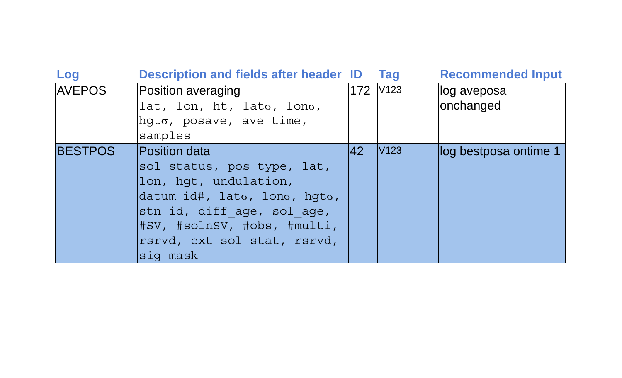| Log            | <b>Description and fields after header ID</b> |     | Taq              | <b>Recommended Input</b> |
|----------------|-----------------------------------------------|-----|------------------|--------------------------|
| <b>AVEPOS</b>  | Position averaging                            |     | 172 V123         | llog aveposa             |
|                | lat, lon, ht, lato, lono,                     |     |                  | onchanged                |
|                | $h$ qto, posave, ave time,                    |     |                  |                          |
|                | samples                                       |     |                  |                          |
| <b>BESTPOS</b> | <b>Position data</b>                          | 142 | V <sub>123</sub> | llog bestposa ontime 1   |
|                | sol status, pos type, lat,                    |     |                  |                          |
|                | lon, hqt, undulation,                         |     |                  |                          |
|                | datum id#, lato, lono, hqto,                  |     |                  |                          |
|                | stn id, diff age, sol age,                    |     |                  |                          |
|                | #SV, #solnSV, #obs, #multi,                   |     |                  |                          |
|                | rsrvd, ext sol stat, rsrvd,                   |     |                  |                          |
|                | siq mask                                      |     |                  |                          |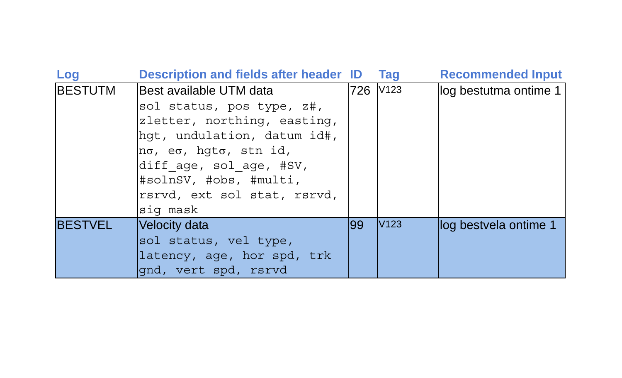| Log            | <b>Description and fields after header ID</b>   |     | <b>Tag</b>       | <b>Recommended Input</b> |
|----------------|-------------------------------------------------|-----|------------------|--------------------------|
| <b>BESTUTM</b> | lBest available UTM data                        | 726 | V <sub>123</sub> | log bestutma ontime 1    |
|                | sol status, pos type, z#,                       |     |                  |                          |
|                | zletter, northing, easting,                     |     |                  |                          |
|                | hqt, undulation, datum id#,                     |     |                  |                          |
|                | $n\sigma$ , e $\sigma$ , hqt $\sigma$ , stn id, |     |                  |                          |
|                | diff age, sol age, #SV,                         |     |                  |                          |
|                | #solnSV, #obs, #multi,                          |     |                  |                          |
|                | rsrvd, ext sol stat, rsrvd,                     |     |                  |                          |
|                | sig mask                                        |     |                  |                          |
| <b>BESTVEL</b> | Velocity data                                   | 199 | V <sub>123</sub> | log bestvela ontime 1    |
|                | sol status, vel type,                           |     |                  |                          |
|                | latency, age, hor spd, trk                      |     |                  |                          |
|                | qnd, vert spd, rsrvd                            |     |                  |                          |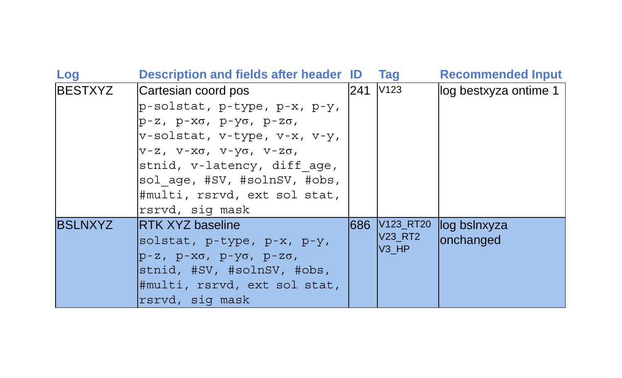| Log            | <b>Description and fields after header ID</b>     |      | <b>Tag</b>                          | <b>Recommended Input</b> |
|----------------|---------------------------------------------------|------|-------------------------------------|--------------------------|
| BESTXYZ        | Cartesian coord pos                               | 241  | V123                                | log bestxyza ontime 1    |
|                | $p$ -solstat, p-type, p-x, p-y,                   |      |                                     |                          |
|                | р-z, p-xo, p-yo, p-zo,                            |      |                                     |                          |
|                | v-solstat, v-type, v-x, v-y,                      |      |                                     |                          |
|                | $V-Z$ , $V-X\sigma$ , $V-Y\sigma$ , $V-Z\sigma$ , |      |                                     |                          |
|                | stnid, v-latency, diff age,                       |      |                                     |                          |
|                | sol age, #SV, #solnSV, #obs,                      |      |                                     |                          |
|                | #multi, rsrvd, ext sol stat,                      |      |                                     |                          |
|                | rsrvd, sig mask                                   |      |                                     |                          |
| <b>BSLNXYZ</b> | <b>RTK XYZ baseline</b>                           | 886l | V <sub>123</sub> RT <sub>20</sub>   | log bslnxyza             |
|                | solstat, p-type, p-x, p-y,                        |      | <b>V23 RT2</b><br>V <sub>3</sub> HP | onchanged                |
|                | $p-z$ , $p-x\sigma$ , $p-y\sigma$ , $p-z\sigma$ , |      |                                     |                          |
|                | stnid, #SV, #solnSV, #obs,                        |      |                                     |                          |
|                | #multi, rsrvd, ext sol stat,                      |      |                                     |                          |
|                | rsrvd, sig mask                                   |      |                                     |                          |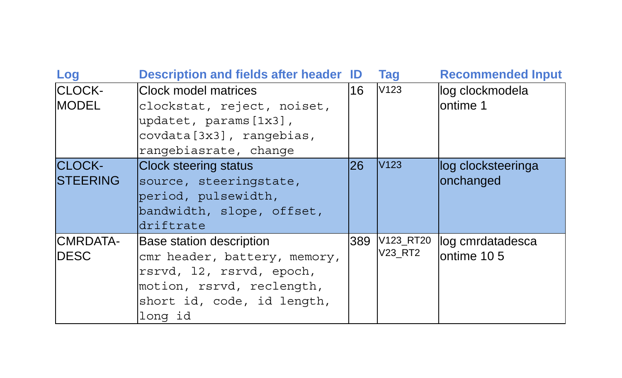| Log                              | <b>Description and fields after header ID</b>                                                                                                              |      | Tag                  | <b>Recommended Input</b>        |
|----------------------------------|------------------------------------------------------------------------------------------------------------------------------------------------------------|------|----------------------|---------------------------------|
| <b>CLOCK-</b><br><b>MODEL</b>    | lClock model matrices<br>clockstat, reject, noiset,<br>updatet, params [1x3],<br>covdata[3x3], rangebias,<br>rangebiasrate, change                         | 16   | V123                 | log clockmodela<br>lontime 1    |
| <b>CLOCK-</b><br><b>STEERING</b> | <b>Clock steering status</b><br>source, steeringstate,<br>period, pulsewidth,<br>bandwidth, slope, offset,<br>driftrate                                    | I26. | V <sub>123</sub>     | log clocksteeringa<br>onchanged |
| <b>CMRDATA-</b><br><b>IDESC</b>  | Base station description<br>cmr header, battery, memory,<br>rsrvd, 12, rsrvd, epoch,<br>motion, rsrvd, reclength,<br>short id, code, id length,<br>long id | 389  | V123_RT20<br>V23_RT2 | llog cmrdatadesca<br>ontime 105 |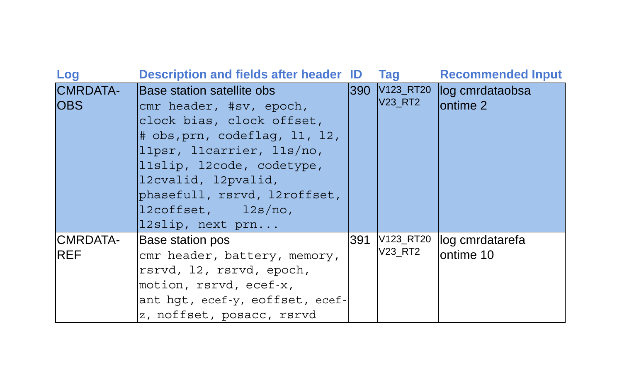| Log                           | <b>Description and fields after header ID</b>                                                                                                                                                                                                                                                                              |        | <b>Tag</b>     | <b>Recommended Input</b>                          |
|-------------------------------|----------------------------------------------------------------------------------------------------------------------------------------------------------------------------------------------------------------------------------------------------------------------------------------------------------------------------|--------|----------------|---------------------------------------------------|
| <b>CMRDATA-</b><br><b>OBS</b> | Base station satellite obs<br>cmr header, #sv, epoch,<br>clock bias, clock offset,<br>$\#$ obs, prn, codeflag, 11, 12,<br>llpsr, llcarrier, lls/no,<br>lislip, l2code, codetype,<br>12cvalid, 12pvalid,<br>phasefull, rsrvd, l2roffset,<br>$\frac{12}{\text{coffset}}$ , $\frac{12}{\text{s}}$ /no,<br>$l2slip$ , next prn | l390 l | <b>V23_RT2</b> | V <sub>123_RT20</sub> log cmrdataobsa<br>ontime 2 |
| CMRDATA-<br><b>REF</b>        | Base station pos<br>cmr header, battery, memory,<br>rsrvd, 12, rsrvd, epoch,<br>motion, rsrvd, ecef-x,<br>ant hqt, ecef-y, eoffset, ecef-<br>z, noffset, posacc, rsrvd                                                                                                                                                     | 391    | V23_RT2        | V123_RT20 log cmrdatarefa<br>ontime 10            |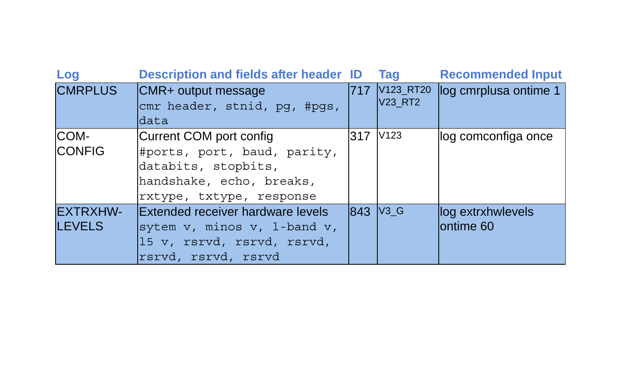| Log             | Description and fields after header ID |     | Tag                  | <b>Recommended Input</b> |
|-----------------|----------------------------------------|-----|----------------------|--------------------------|
| <b>CMRPLUS</b>  | CMR+ output message                    | 717 | V123_RT20            | log cmrplusa ontime 1    |
|                 | cmr header, stnid, pg, #pgs,           |     | <b>V23 RT2</b>       |                          |
|                 | data                                   |     |                      |                          |
| COM-            | Current COM port config                | 317 | V <sub>123</sub>     | log comconfiga once      |
| <b>CONFIG</b>   | #ports, port, baud, parity,            |     |                      |                          |
|                 | databits, stopbits,                    |     |                      |                          |
|                 | handshake, echo, breaks,               |     |                      |                          |
|                 | rxtype, txtype, response               |     |                      |                          |
| <b>EXTRXHW-</b> | Extended receiver hardware levels      |     | 843 V <sub>3</sub> G | log extrxhwlevels        |
| <b>LEVELS</b>   | sytem $v$ , minos $v$ , 1-band $v$ ,   |     |                      | lontime 60               |
|                 | 15 v, rsrvd, rsrvd, rsrvd,             |     |                      |                          |
|                 | rsrvd, rsrvd, rsrvd                    |     |                      |                          |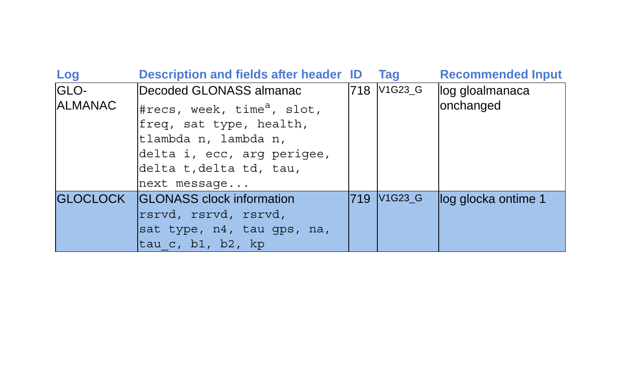| Log            | <b>Description and fields after header ID</b>                                                                                                                      |     | Tag                              | <b>Recommended Input</b> |
|----------------|--------------------------------------------------------------------------------------------------------------------------------------------------------------------|-----|----------------------------------|--------------------------|
| GLO-           | Decoded GLONASS almanac                                                                                                                                            |     | 718 V1G23_G                      | log gloalmanaca          |
| <b>ALMANAC</b> | #recs, week, time <sup>a</sup> , slot,<br>freq, sat type, health,<br>tlambda n, lambda n,<br>delta i, ecc, arg perigee,<br>delta t, delta td, tau,<br>next message |     |                                  | onchanged                |
|                | GLOCLOCK <b>GLONASS</b> clock information<br>rsrvd, rsrvd, rsrvd,<br>sat type, n4, tau qps, na,<br>$\alpha$ , b1, b2, kp                                           | 719 | V <sub>1</sub> G <sub>23</sub> G | log glocka ontime 1      |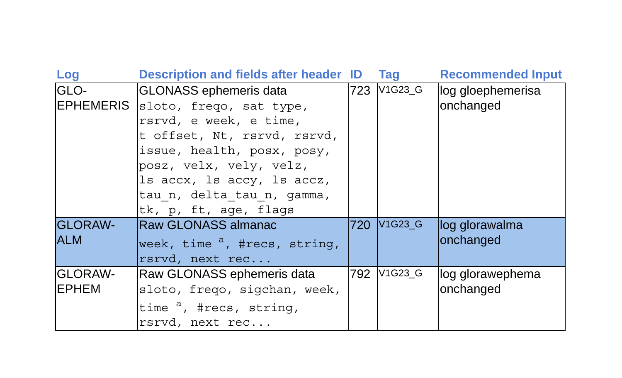| Log                             | <b>Description and fields after header ID</b>                                                                                                                                                                                                                      | Tag         | <b>Recommended Input</b>       |
|---------------------------------|--------------------------------------------------------------------------------------------------------------------------------------------------------------------------------------------------------------------------------------------------------------------|-------------|--------------------------------|
| GLO-                            | GLONASS ephemeris data<br>EPHEMERIS sloto, frego, sat type,<br>rsrvd, e week, e time,<br>t offset, Nt, rsrvd, rsrvd,<br>issue, health, posx, posy,<br>posz, velx, vely, velz,<br>Is accx, Is accy, Is accz,<br>tau n, delta tau n, gamma,<br>tk, p, ft, age, flags | 723 V1G23_G | log gloephemerisa<br>onchanged |
| <b>GLORAW-</b><br><b>ALM</b>    | Raw GLONASS almanac<br>week, time <sup>a</sup> , #recs, string,<br>rsrvd, next rec                                                                                                                                                                                 | 720 V1G23_G | log glorawalma<br>onchanged    |
| <b>GLORAW-</b><br><b>IEPHEM</b> | Raw GLONASS ephemeris data<br>sloto, frego, sigchan, week,<br>time <sup>a</sup> , #recs, string,<br>rsrvd, next rec                                                                                                                                                | 792 V1G23_G | log glorawephema<br>onchanged  |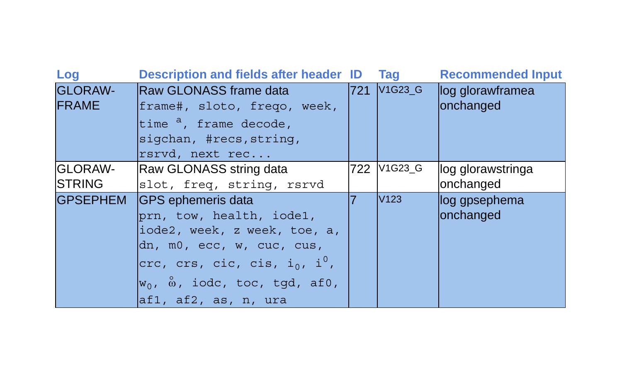| Log                               | <b>Description and fields after header ID</b>                                                                                                                                                                                                  |     | Tag                              | <b>Recommended Input</b>        |
|-----------------------------------|------------------------------------------------------------------------------------------------------------------------------------------------------------------------------------------------------------------------------------------------|-----|----------------------------------|---------------------------------|
| <b>GLORAW-</b><br><b>FRAME</b>    | Raw GLONASS frame data<br>frame#, sloto, frego, week,<br>time <sup>a</sup> , frame decode,<br>sigchan, #recs, string,<br>rsrvd, next rec                                                                                                       | 721 | V <sub>1</sub> G <sub>23</sub> G | log glorawframea<br>onchanged   |
| <b>IGLORAW-</b><br><b>ISTRING</b> | Raw GLONASS string data<br>slot, freq, string, rsrvd                                                                                                                                                                                           |     | 722 V1G23_G                      | llog glorawstringa<br>onchanged |
| <b>GPSEPHEM</b>                   | <b>GPS</b> ephemeris data<br>prn, tow, health, iode1,<br>iode2, week, z week, toe, a,<br>dn, m0, ecc, w, cuc, cus,<br>crc, crs, cic, cis, i <sub>0</sub> , i <sup>0</sup> ,<br>$w_0$ , $\omega$ , iodc, toc, tgd, af0,<br>af1, af2, as, n, ura |     | V <sub>123</sub>                 | log gpsephema<br>onchanged      |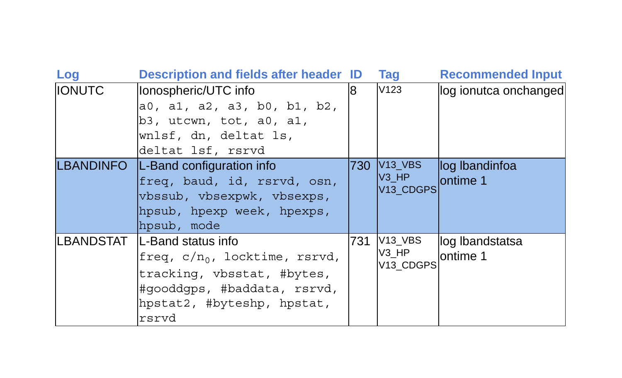| Log           | <b>Description and fields after header ID</b>                                                                                                                                   |     | <b>Tag</b>                                                  | <b>Recommended Input</b>    |
|---------------|---------------------------------------------------------------------------------------------------------------------------------------------------------------------------------|-----|-------------------------------------------------------------|-----------------------------|
| <b>IONUTC</b> | Ionospheric/UTC info<br>a0, a1, a2, a3, b0, b1, b2,<br>$b3$ , utcwn, tot, a0, a1,<br>wnlsf, dn, deltat ls,<br>deltat lsf, rsrvd                                                 | R.  | V123                                                        | log ionutca onchanged       |
|               | LBANDINFO   L-Band configuration info<br>freq, baud, id, rsrvd, osn,<br>vbssub, vbsexpwk, vbsexps,<br>hpsub, hpexp week, hpexps,<br>hpsub, mode                                 |     | 730 V <sub>13_VBS</sub><br>$V3$ HP<br>V <sub>13</sub> CDGPS | log Ibandinfoa<br>lontime 1 |
|               | LBANDSTAT   L-Band status info<br>freq, c/n <sub>0</sub> , locktime, rsrvd,<br>tracking, vbsstat, #bytes,<br>#gooddgps, #baddata, rsrvd,<br>hpstat2, #byteshp, hpstat,<br>rsrvd | 731 | $V13_VBS$<br>V3 HP<br>V13 CDGPS                             | log Ibandstatsa<br>ontime 1 |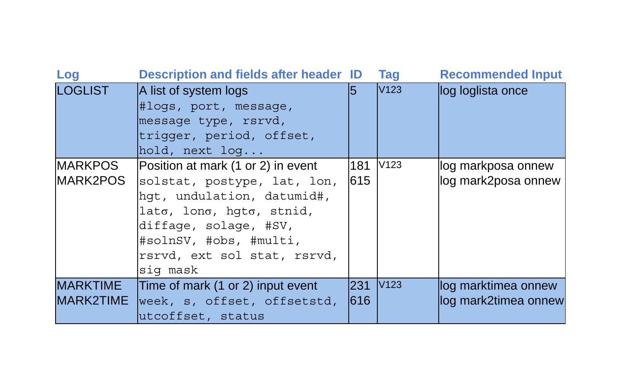| Log                                 | <b>Description and fields after header ID</b>                                                                                                                                                                                       |                                    | <b>Tag</b>       | <b>Recommended Input</b>                    |
|-------------------------------------|-------------------------------------------------------------------------------------------------------------------------------------------------------------------------------------------------------------------------------------|------------------------------------|------------------|---------------------------------------------|
| <b>LOGLIST</b>                      | A list of system logs<br>#logs, port, message,<br>message type, rsrvd,<br>triqqer, period, offset,<br>hold, next log                                                                                                                | 15                                 | V <sub>123</sub> | log loglista once                           |
| <b>MARKPOS</b><br>MARK2POS          | Position at mark (1 or 2) in event<br>solstat, postype, lat, lon,<br>hqt, undulation, datumid#,<br>$\lambda$ lato, lono, hqto, stnid,<br>diffage, solage, #SV,<br>#solnSV, #obs, #multi,<br>rsrvd, ext sol stat, rsrvd,<br>sig mask | 181<br>615                         | V <sub>123</sub> | log markposa onnew<br>log mark2posa onnew   |
| <b>MARKTIME</b><br><b>MARK2TIME</b> | Time of mark (1 or 2) input event<br>week, s, offset, offsetstd,<br>utcoffset, status                                                                                                                                               | 231 V <sub>123</sub><br><b>616</b> |                  | log marktimea onnew<br>log mark2timea onnew |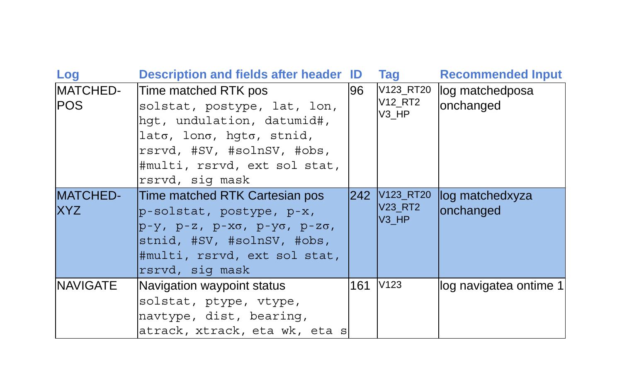| Log                           | <b>Description and fields after header ID</b>                                                                                                                                                      |     | <b>Tag</b>                                    | <b>Recommended Input</b>     |
|-------------------------------|----------------------------------------------------------------------------------------------------------------------------------------------------------------------------------------------------|-----|-----------------------------------------------|------------------------------|
| MATCHED-<br><b>POS</b>        | Time matched RTK pos<br>solstat, postype, lat, lon,<br>hqt, undulation, datumid#,<br>$\lambda$ long, hqtg, stnid,<br>rsrvd, #SV, #solnSV, #obs,<br>#multi, rsrvd, ext sol stat,<br>rsrvd, sig mask | 96  | V123_RT20<br><b>V12 RT2</b><br>V3 HP          | log matchedposa<br>onchanged |
| <b>MATCHED-</b><br><b>XYZ</b> | Time matched RTK Cartesian pos<br>p-solstat, postype, p-x,<br>p-y, p-z, p-xo, p-yo, p-zo,<br>stnid, #SV, #solnSV, #obs,<br>#multi, rsrvd, ext sol stat,<br>rsrvd, sig mask                         |     | 242 V123_RT20<br>V23 RT2<br>V <sub>3</sub> HP | log matchedxyza<br>onchanged |
| <b>NAVIGATE</b>               | Navigation waypoint status<br>solstat, ptype, vtype,<br>navtype, dist, bearing,<br>atrack, xtrack, eta wk, eta s                                                                                   | 161 | V <sub>123</sub>                              | log navigatea ontime 1       |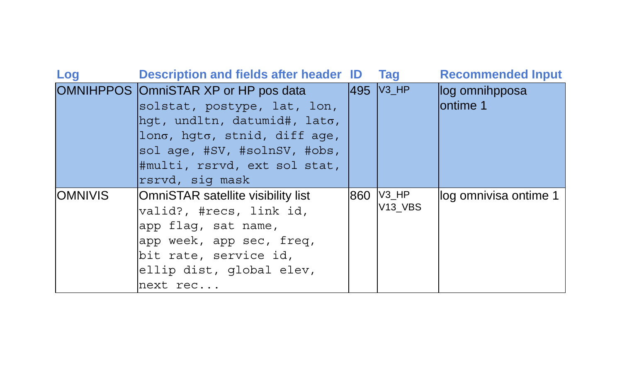| Log            | <b>Description and fields after header ID</b>                                                                                                                                                                                     | <b>Tag</b>           | <b>Recommended Input</b>   |
|----------------|-----------------------------------------------------------------------------------------------------------------------------------------------------------------------------------------------------------------------------------|----------------------|----------------------------|
|                | OMNIHPPOS OmniSTAR XP or HP pos data<br>solstat, postype, lat, lon,<br>$hat,$ undltn, datumid#, lat $\sigma$ ,<br>lono, hqto, stnid, diff age,<br>sol age, #SV, #solnSV, #obs,<br>#multi, rsrvd, ext sol stat,<br>rsrvd, sig mask | 495 V3_HP            | log omnihpposa<br>ontime 1 |
| <b>OMNIVIS</b> | OmniSTAR satellite visibility list<br>valid?, #recs, link id,<br>app flag, sat name,<br>app week, app sec, freq,<br>bit rate, service id,<br>ellip dist, global elev,<br>next rec                                                 | 860 V3_HP<br>V13 VBS | log omnivisa ontime 1      |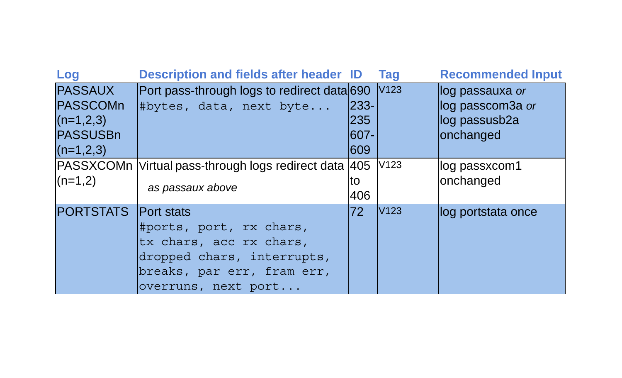| Log                                                                                | <b>Description and fields after header ID</b>                                                                                                              |                                           | <b>Tag</b>       | <b>Recommended Input</b>                                           |
|------------------------------------------------------------------------------------|------------------------------------------------------------------------------------------------------------------------------------------------------------|-------------------------------------------|------------------|--------------------------------------------------------------------|
| <b>PASSAUX</b><br><b>PASSCOMn</b><br>$(n=1,2,3)$<br><b>PASSUSBn</b><br>$(n=1,2,3)$ | Port pass-through logs to redirect data 690 V123<br>#bytes, data, next byte                                                                                | <b>233-</b><br>235<br><b>1607-</b><br>609 |                  | llog passauxa or<br>log passcom3a or<br>log passusb2a<br>onchanged |
| $(n=1,2)$                                                                          | PASSXCOMn Virtual pass-through logs redirect data 405<br>as passaux above                                                                                  | lto<br>406                                | V <sub>123</sub> | log passxcom1<br>onchanged                                         |
| <b>PORTSTATS</b>                                                                   | <b>Port stats</b><br>#ports, port, rx chars,<br>tx chars, acc rx chars,<br>dropped chars, interrupts,<br>breaks, par err, fram err,<br>overruns, next port | 72                                        | V <sub>123</sub> | llog portstata once                                                |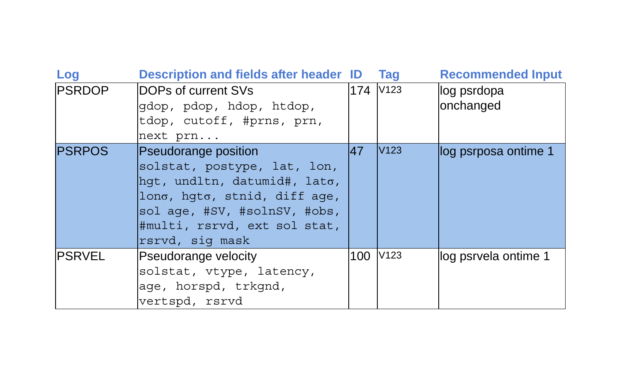| Log           | Description and fields after header ID                                                                                                                                                                 |          | <b>Tag</b>       | <b>Recommended Input</b> |
|---------------|--------------------------------------------------------------------------------------------------------------------------------------------------------------------------------------------------------|----------|------------------|--------------------------|
| <b>PSRDOP</b> | DOPs of current SVs<br>gdop, pdop, hdop, htdop,<br>tdop, cutoff, #prns, prn,<br>next prn                                                                                                               | 174 V123 |                  | log psrdopa<br>onchanged |
| <b>PSRPOS</b> | Pseudorange position<br>solstat, postype, lat, lon,<br>hqt, undltn, datumid#, lato,<br>lono, hqto, stnid, diff age,<br>sol age, #SV, #solnSV, #obs,<br>#multi, rsrvd, ext sol stat,<br>rsrvd, sig mask | 47       | V <sub>123</sub> | log psrposa ontime 1     |
| <b>PSRVEL</b> | Pseudorange velocity<br>solstat, vtype, latency,<br>age, horspd, trkgnd,<br>vertspd, rsrvd                                                                                                             | 100      | V <sub>123</sub> | log psrvela ontime 1     |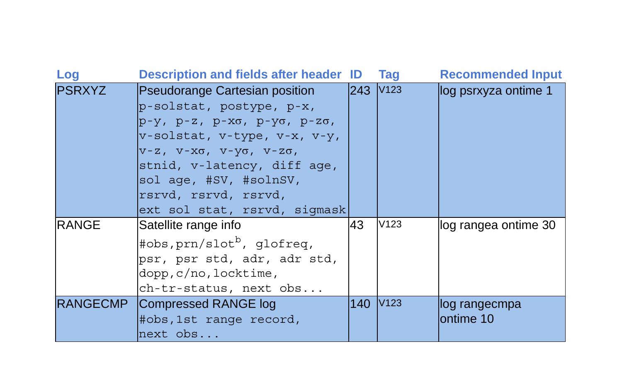| Log           | Description and fields after header ID            |                      | Tag  | <b>Recommended Input</b> |
|---------------|---------------------------------------------------|----------------------|------|--------------------------|
| <b>PSRXYZ</b> | <b>Pseudorange Cartesian position</b>             | 243 V <sub>123</sub> |      | log psrxyza ontime 1     |
|               | p-solstat, postype, p-x,                          |                      |      |                          |
|               | p-y, p-z, p-xo, p-yo, p-zo,                       |                      |      |                          |
|               | v-solstat, v-type, v-x, v-y,                      |                      |      |                          |
|               | $V-Z$ , $V-X\sigma$ , $V-Y\sigma$ , $V-Z\sigma$ , |                      |      |                          |
|               | stnid, v-latency, diff age,                       |                      |      |                          |
|               | sol age, #SV, #solnSV,                            |                      |      |                          |
|               | rsrvd, rsrvd, rsrvd,                              |                      |      |                          |
|               | ext sol stat, rsrvd, sigmask                      |                      |      |                          |
| <b>RANGE</b>  | Satellite range info                              | 43                   | V123 | log rangea ontime 30     |
|               | #obs, $prn/slotb$ , glofreq,                      |                      |      |                          |
|               | psr, psr std, adr, adr std,                       |                      |      |                          |
|               | $\text{dopp}, \text{c/no}, \text{locktime},$      |                      |      |                          |
|               | ch-tr-status, next obs                            |                      |      |                          |
|               | RANGECMP Compressed RANGE log                     | 140 V123             |      | llog rangecmpa           |
|               | #obs,1st range record,                            |                      |      | lontime 10               |
|               | $next$ $obs$                                      |                      |      |                          |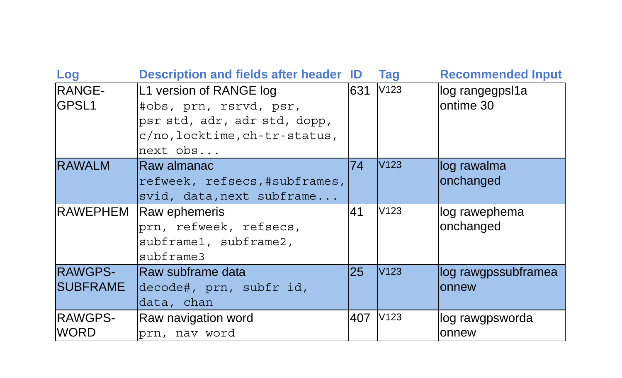| Log               | <b>Description and fields after header ID</b> |           | Tag              | <b>Recommended Input</b> |
|-------------------|-----------------------------------------------|-----------|------------------|--------------------------|
| RANGE-            | L1 version of RANGE log                       | 631       | V <sub>123</sub> | log rangegpsl1a          |
| GPSL <sub>1</sub> | #obs, prn, rsrvd, psr,                        |           |                  | ontime 30                |
|                   | psr std, adr, adr std, dopp,                  |           |                  |                          |
|                   | c/no, locktime, ch-tr-status,                 |           |                  |                          |
|                   | $next$ obs                                    |           |                  |                          |
| <b>RAWALM</b>     | Raw almanac                                   | 74        | V <sub>123</sub> | log rawalma              |
|                   | refweek, refsecs, #subframes,                 |           |                  | onchanged                |
|                   | svid, data, next subframe                     |           |                  |                          |
| <b>RAWEPHEM</b>   | Raw ephemeris                                 | 41        | V123             | log rawephema            |
|                   | prn, refweek, refsecs,                        |           |                  | onchanged                |
|                   | subframe1, subframe2,                         |           |                  |                          |
|                   | subframe3                                     |           |                  |                          |
| <b>RAWGPS-</b>    | <b>Raw subframe data</b>                      | <b>25</b> | V <sub>123</sub> | log rawgpssubframea      |
| <b>SUBFRAME</b>   | decode#, prn, subfr id,                       |           |                  | lonnew                   |
|                   | data, chan                                    |           |                  |                          |
| <b>RAWGPS-</b>    | Raw navigation word                           | 407       | V <sub>123</sub> | log rawgpsworda          |
| <b>WORD</b>       | prn, nav word                                 |           |                  | lonnew                   |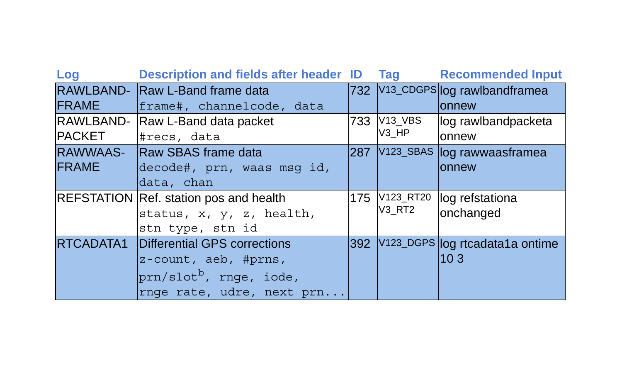| Log           | Description and fields after header ID Tag |     |               | <b>Recommended Input</b>         |
|---------------|--------------------------------------------|-----|---------------|----------------------------------|
|               | RAWLBAND- Raw L-Band frame data            |     |               | 732 V13_CDGPS log rawlbandframea |
| <b>FRAME</b>  | frame#, channelcode, data                  |     |               | lonnew                           |
|               | RAWLBAND- Raw L-Band data packet           |     | 733 V13_VBS   | log rawlbandpacketa              |
| <b>PACKET</b> | #recs, data                                |     | V3 HP         | onnew                            |
|               | RAWWAAS- Raw SBAS frame data               | 287 |               | V123_SBAS log rawwaasframea      |
| <b>FRAME</b>  | decode#, prn, waas msq id,                 |     |               | lonnew                           |
|               | data, chan                                 |     |               |                                  |
|               | REFSTATION Ref. station pos and health     |     | 175 V123_RT20 | log refstationa                  |
|               | status, x, y, z, health,                   |     | V3 RT2        | onchanged                        |
|               | stn type, stn id                           |     |               |                                  |
| RTCADATA1     | Differential GPS corrections               | 392 |               | V123_DGPS log rtcadata1a ontime  |
|               | z-count, aeb, #prns,                       |     |               | 103                              |
|               | $prn/slotb$ , rnge, iode,                  |     |               |                                  |
|               | rnge rate, udre, next prn                  |     |               |                                  |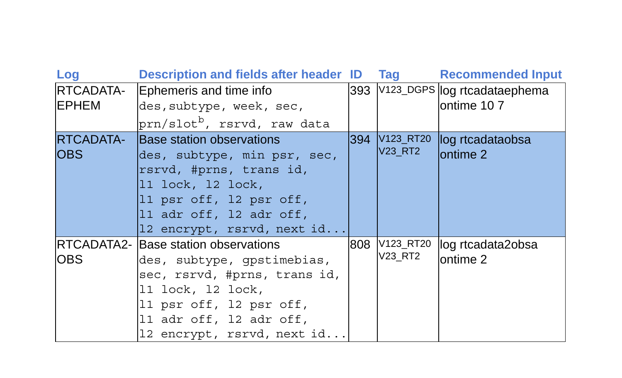| Log              | Description and fields after header ID Tag |     |               | <b>Recommended Input</b>         |
|------------------|--------------------------------------------|-----|---------------|----------------------------------|
| RTCADATA-        | Ephemeris and time info                    |     |               | 393 V123_DGPS log rtcadataephema |
| <b>IEPHEM</b>    | des, subtype, week, sec,                   |     |               | ontime 107                       |
|                  | prn/slot <sup>b</sup> , rsrvd, raw data    |     |               |                                  |
| <b>RTCADATA-</b> | <b>Base station observations</b>           |     | 394 V123_RT20 | log rtcadataobsa                 |
| <b>OBS</b>       | des, subtype, min psr, sec,                |     | V23_RT2       | lontime 2                        |
|                  | rsrvd, #prns, trans id,                    |     |               |                                  |
|                  | 11 lock, 12 lock,                          |     |               |                                  |
|                  | l1 psr off, l2 psr off,                    |     |               |                                  |
|                  | 11 adr off, 12 adr off,                    |     |               |                                  |
|                  | 12 encrypt, rsrvd, next id                 |     |               |                                  |
|                  | IRTCADATA2- Base station observations      | 808 | V123_RT20     | log rtcadata2obsa                |
| IOBS             | des, subtype, qpstimebias,                 |     | V23 RT2       | lontime 2                        |
|                  | sec, rsrvd, #prns, trans id,               |     |               |                                  |
|                  | 11 lock, 12 lock,                          |     |               |                                  |
|                  | 11 psr off, 12 psr off,                    |     |               |                                  |
|                  | 11 adr off, 12 adr off,                    |     |               |                                  |
|                  | 12 encrypt, rsrvd, next id                 |     |               |                                  |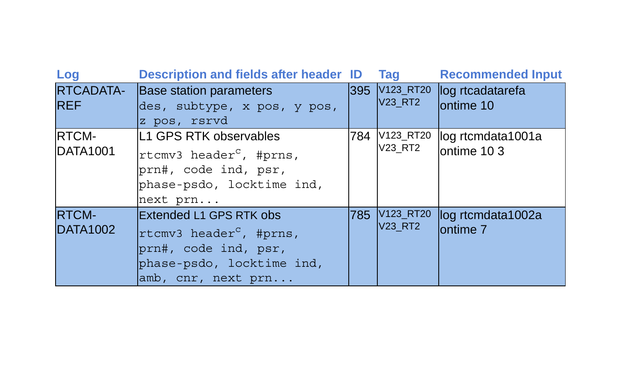| Log                      | <b>Description and fields after header ID</b>                                                                                             | Tag                             | <b>Recommended Input</b>                 |
|--------------------------|-------------------------------------------------------------------------------------------------------------------------------------------|---------------------------------|------------------------------------------|
| RTCADATA-<br><b>REF</b>  | Base station parameters<br>des, subtype, x pos, y pos,<br>z pos, rsrvd                                                                    | 395 V123_RT20<br><b>V23 RT2</b> | log rtcadatarefa<br>ontime 10            |
| RTCM-<br>DATA1001        | L1 GPS RTK observables<br>rtcmv3 header <sup>c</sup> , #prns,<br>prn#, code ind, psr,<br>phase-psdo, locktime ind,<br>next prn            | 784 V123 RT20<br>V23_RT2        | log rtcmdata1001a<br>ontime 103          |
| <b>RTCM-</b><br>DATA1002 | Extended L1 GPS RTK obs<br>rtcmv3 header <sup>c</sup> , #prns,<br>prn#, code ind, psr,<br>phase-psdo, locktime ind,<br>amb, cnr, next prn | 785 V123_RT20<br><b>V23 RT2</b> | log rtcmdata1002a<br>ontime <sub>7</sub> |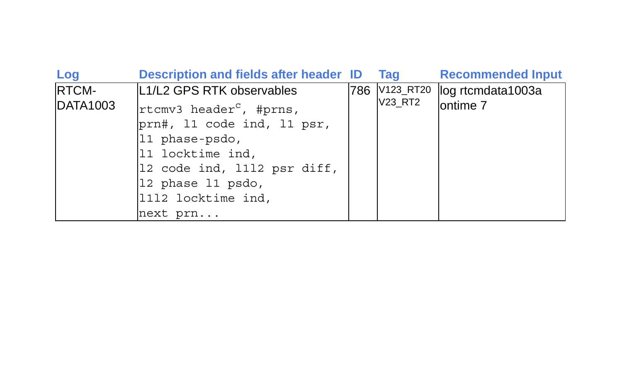| Log             | <b>Description and fields after header ID</b> | Taq     | <b>Recommended Input</b>        |
|-----------------|-----------------------------------------------|---------|---------------------------------|
| RTCM-           | L1/L2 GPS RTK observables                     |         | 786 V123_RT20 log rtcmdata1003a |
| <b>DATA1003</b> | rtcmv3 header <sup>c</sup> , #prns,           | V23 RT2 | ontime <sub>7</sub>             |
|                 | prn#, 11 code ind, 11 psr,                    |         |                                 |
|                 | $ 11 \rangle$ phase-psdo,                     |         |                                 |
|                 | 11 locktime ind,                              |         |                                 |
|                 | 12 code ind, 1112 psr diff,                   |         |                                 |
|                 | 12 phase 11 psdo,                             |         |                                 |
|                 | 1112 locktime ind,                            |         |                                 |
|                 | next prn                                      |         |                                 |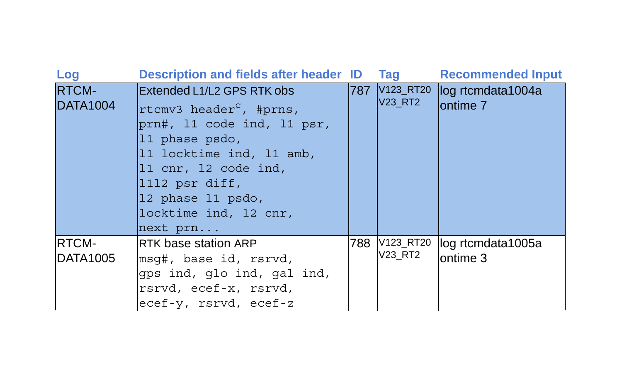| Log                             | <b>Description and fields after header ID</b>                                                                                                                                                                                                     |       | Tag                      | <b>Recommended Input</b>                           |
|---------------------------------|---------------------------------------------------------------------------------------------------------------------------------------------------------------------------------------------------------------------------------------------------|-------|--------------------------|----------------------------------------------------|
| <b>RTCM-</b><br><b>DATA1004</b> | Extended L1/L2 GPS RTK obs<br>rtcmv3 header <sup>c</sup> , #prns,<br>prn#, 11 code ind, 11 psr,<br>11 phase psdo,<br>11 locktime ind, 11 amb,<br>11 cnr, 12 code ind,<br>1112 psr diff,<br>12 phase 11 psdo,<br>locktime ind, 12 cnr,<br>next prn | 1787. | <b>V23_RT2</b>           | V123_RT20 log rtcmdata1004a<br>ontime <sub>7</sub> |
| <b>RTCM-</b><br>IDATA1005       | <b>IRTK base station ARP</b><br>msq#, base id, rsrvd,<br>gps ind, glo ind, gal ind,<br>rsrvd, ecef-x, rsrvd,<br>ecef-y, rsrvd, ecef-z                                                                                                             |       | 788 V123_RT20<br>V23_RT2 | log rtcmdata1005a<br>ontime 3                      |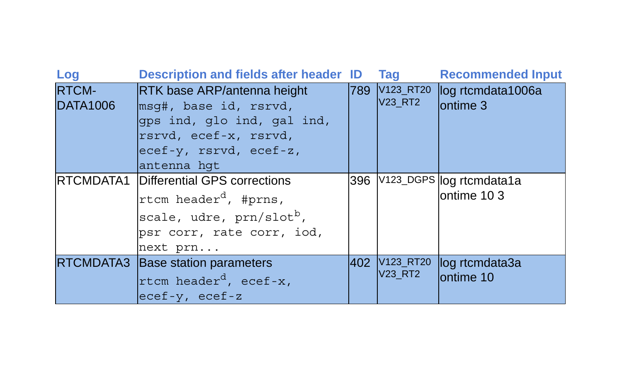| Log                      | <b>Description and fields after header ID</b>               |     | <b>Tag</b>                  | <b>Recommended Input</b>      |
|--------------------------|-------------------------------------------------------------|-----|-----------------------------|-------------------------------|
| RTCM-<br><b>DATA1006</b> | <b>RTK base ARP/antenna height</b><br>msq#, base id, rsrvd, | 789 | V123_RT20<br><b>V23 RT2</b> | log rtcmdata1006a<br>ontime 3 |
|                          | qps ind, qlo ind, gal ind,<br>rsrvd, ecef-x, rsrvd,         |     |                             |                               |
|                          | ecef-y, rsrvd, ecef-z,<br>antenna hqt                       |     |                             |                               |
|                          | <b>IRTCMDATA1</b> Differential GPS corrections              |     |                             | 396 V123_DGPS log rtcmdata1a  |
|                          | rtcm header <sup>d</sup> , #prns,                           |     |                             | ontime 103                    |
|                          | scale, udre, prn/slot <sup>b</sup> ,                        |     |                             |                               |
|                          | psr corr, rate corr, iod,                                   |     |                             |                               |
|                          | next prn                                                    |     |                             |                               |
|                          | RTCMDATA3 Base station parameters                           |     | 402 V123_RT20               | log rtcmdata3a                |
|                          | rtcm header <sup>d</sup> , ecef-x,                          |     | V23 RT2                     | ontime 10                     |
|                          | $ e c e f - v$ , ecef-z                                     |     |                             |                               |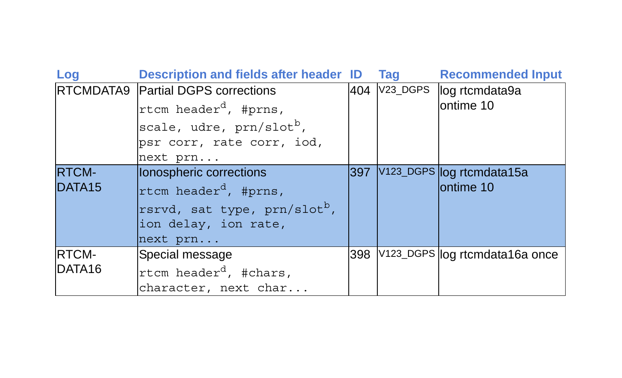| Log                | <b>Description and fields after header ID</b> |        | <b>Tag</b> | <b>Recommended Input</b>       |
|--------------------|-----------------------------------------------|--------|------------|--------------------------------|
|                    | RTCMDATA9 Partial DGPS corrections            | 404    | V23 DGPS   | log rtcmdata9a                 |
|                    | rtcm header <sup>d</sup> , #prns,             |        |            | ontime 10                      |
|                    | scale, udre, prn/slot <sup>b</sup> ,          |        |            |                                |
|                    | psr corr, rate corr, iod,                     |        |            |                                |
|                    | next prn                                      |        |            |                                |
| <b>RTCM-</b>       | lonospheric corrections                       | l397 l |            | V123_DGPS log rtcmdata15a      |
| DATA <sub>15</sub> | rtcm header <sup>d</sup> , #prns,             |        |            | ontime 10                      |
|                    | rsrvd, sat type, prn/slot <sup>b</sup> ,      |        |            |                                |
|                    | ion delay, ion rate,                          |        |            |                                |
|                    | next prn                                      |        |            |                                |
| <b>RTCM-</b>       | Special message                               | 398    |            | V123_DGPS log rtcmdata16a once |
| DATA <sub>16</sub> | rtcm header <sup>d</sup> , #chars,            |        |            |                                |
|                    | character, next char                          |        |            |                                |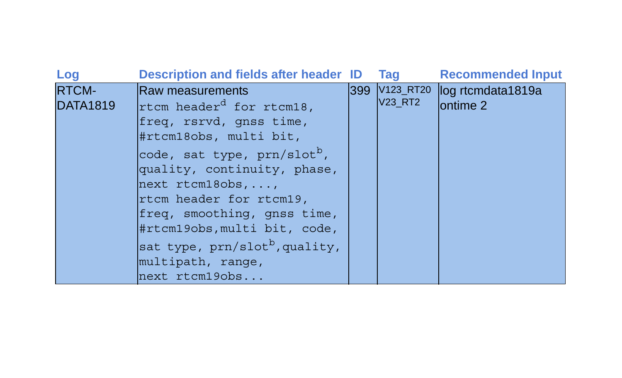| Log                             | <b>Description and fields after header ID</b>                                                                                                                                                                                                                                                                                                                                                             | Tag            | <b>Recommended Input</b>                     |
|---------------------------------|-----------------------------------------------------------------------------------------------------------------------------------------------------------------------------------------------------------------------------------------------------------------------------------------------------------------------------------------------------------------------------------------------------------|----------------|----------------------------------------------|
| <b>RTCM-</b><br><b>DATA1819</b> | <b>Raw measurements</b><br>rtcm header <sup>d</sup> for rtcm18,<br>freq, rsrvd, gnss time,<br>#rtcm18obs, multi bit,<br>code, sat type, prn/slot <sup>b</sup> ,<br>quality, continuity, phase,<br>$next$ rtcm18obs, ,<br>rtcm header for rtcm19,<br>freq, smoothing, qnss time,<br>#rtcm19obs, multi bit, code,<br>sat type, prn/slot <sup>b</sup> , quality,<br>multipath, range,<br>$next$ rt $cm19obs$ | <b>V23 RT2</b> | 399 V123_RT20 log rtcmdata1819a<br>lontime 2 |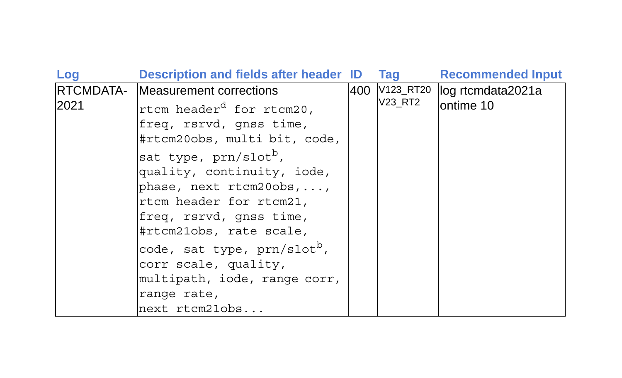| Log               | <b>Description and fields after header ID</b>                                                                                                                                                                                                                                                                 | <b>Tag</b> | <b>Recommended Input</b>                      |
|-------------------|---------------------------------------------------------------------------------------------------------------------------------------------------------------------------------------------------------------------------------------------------------------------------------------------------------------|------------|-----------------------------------------------|
| RTCMDATA-<br>2021 | Measurement corrections<br>rtcm header <sup>d</sup> for rtcm20,<br>freq, rsrvd, qnss time,<br>#rtcm20obs, multi bit, code,<br>sat type, prn/slot <sup>b</sup> ,<br>quality, continuity, iode,<br>phase, next $r$ tcm20obs, ,<br>rtcm header for rtcm21,<br>freq, rsrvd, qnss time,<br>#rtcm21obs, rate scale, | V23_RT2    | 400 V123_RT20 log rtcmdata2021a<br>lontime 10 |
|                   | code, sat type, prn/slot <sup>b</sup> ,<br>corr scale, quality,<br>multipath, iode, range corr,<br>range rate,<br>next rtcm21obs                                                                                                                                                                              |            |                                               |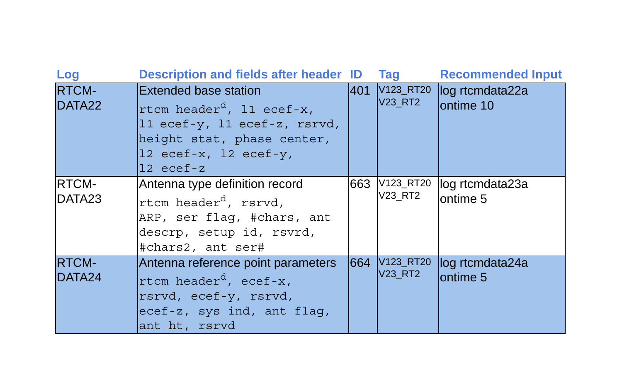| Log                    | <b>Description and fields after header ID</b>                                                                                                                                           |      | Tag                         | <b>Recommended Input</b>      |
|------------------------|-----------------------------------------------------------------------------------------------------------------------------------------------------------------------------------------|------|-----------------------------|-------------------------------|
| <b>RTCM-</b><br>DATA22 | Extended base station<br>rtcm header <sup>d</sup> , 11 ecef-x,<br>l1 ecef-y, l1 ecef-z, rsrvd,<br>height stat, phase center,<br>$12 \text{ ecef-x}$ , 12 ecef-y,<br>$12 \text{ eccf-z}$ | 1401 | V123_RT20<br><b>V23_RT2</b> | log rtcmdata22a<br>lontime 10 |
| <b>RTCM-</b><br>DATA23 | Antenna type definition record<br>rtcm header <sup>d</sup> , rsrvd,<br>ARP, ser flag, #chars, ant<br>descrp, setup id, rsvrd,<br>#chars2, ant ser#                                      | 663  | V123_RT20<br>V23_RT2        | log rtcmdata23a<br>ontime 5   |
| <b>RTCM-</b><br>DATA24 | Antenna reference point parameters<br>rtcm header <sup>d</sup> , ecef-x,<br>rsrvd, ecef-y, rsrvd,<br>ecef-z, sys ind, ant flag,<br>ant ht, rsrvd                                        | 1664 | V123_RT20<br><b>V23_RT2</b> | log rtcmdata24a<br>lontime 5  |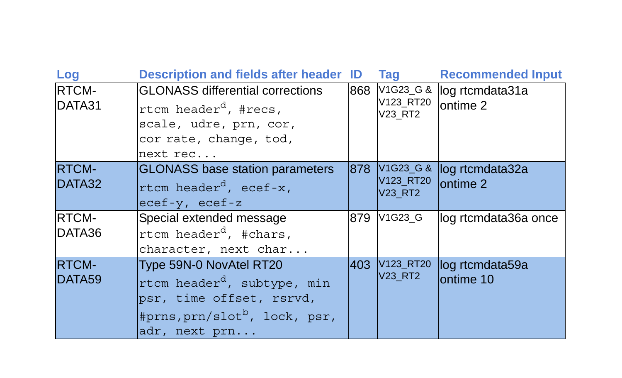| Log                     | <b>Description and fields after header ID</b>                                                                                                                |       | Tag                               | <b>Recommended Input</b>     |
|-------------------------|--------------------------------------------------------------------------------------------------------------------------------------------------------------|-------|-----------------------------------|------------------------------|
| <b>RTCM-</b><br>DATA31  | <b>GLONASS differential corrections</b><br>rtcm header <sup>d</sup> , #recs,<br>scale, udre, prn, cor,<br>cor rate, change, tod,<br>next rec                 | 868   | V1G23_G &<br>V123_RT20<br>V23 RT2 | log rtcmdata31a<br>ontime 2  |
| <b>RTCM-</b><br>DATA32  | <b>GLONASS</b> base station parameters<br>rtcm header <sup>d</sup> , ecef-x,<br>$ e c e f - y $ , ecef-z                                                     | 1878. | V1G23_G &<br>V123_RT20<br>V23 RT2 | log rtcmdata32a<br>lontime 2 |
| <b>RTCM-</b><br>IDATA36 | Special extended message<br>rtcm header <sup>d</sup> , #chars,<br>character, next char                                                                       |       | 879 V1G23_G                       | log rtcmdata36a once         |
| <b>RTCM-</b><br>DATA59  | Type 59N-0 NovAtel RT20<br>rtcm header <sup>d</sup> , subtype, min<br>psr, time offset, rsrvd,<br>#prns, prn/slot <sup>b</sup> , lock, psr,<br>adr, next prn | l403. | V123_RT20<br><b>V23 RT2</b>       | log rtcmdata59a<br>ontime 10 |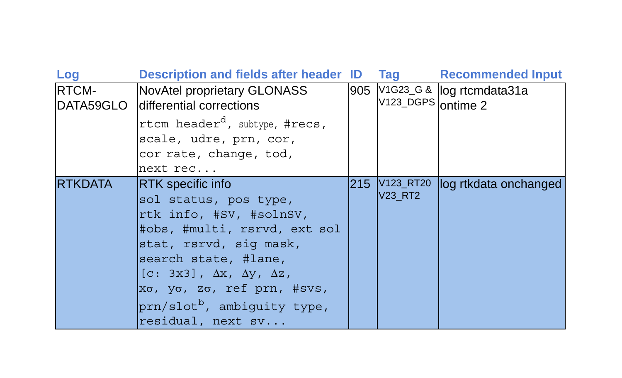| Log            | <b>Description and fields after header ID</b>                     |  | <b>Tag</b>                      | <b>Recommended Input</b>      |
|----------------|-------------------------------------------------------------------|--|---------------------------------|-------------------------------|
| <b>RTCM-</b>   | NovAtel proprietary GLONASS<br>DATA59GLO differential corrections |  | V123_DGPS ontime 2              | 905 V1G23_G & log rtcmdata31a |
|                | rtcm header <sup>d</sup> , subtype, #recs,                        |  |                                 |                               |
|                | scale, udre, prn, cor,                                            |  |                                 |                               |
|                | cor rate, change, tod,                                            |  |                                 |                               |
|                | next rec                                                          |  |                                 |                               |
| <b>RTKDATA</b> | <b>RTK</b> specific info                                          |  | 215 V123_RT20<br><b>V23 RT2</b> | log rtkdata onchanged         |
|                | sol status, pos type,                                             |  |                                 |                               |
|                | rtk info, #SV, #solnSV,                                           |  |                                 |                               |
|                | #obs, #multi, rsrvd, ext sol                                      |  |                                 |                               |
|                | stat, rsrvd, sig mask,                                            |  |                                 |                               |
|                | search state, #lane,                                              |  |                                 |                               |
|                | $[c: 3x3], \Delta x, \Delta y, \Delta z,$                         |  |                                 |                               |
|                | xσ, yσ, zσ, ref prn, #svs,                                        |  |                                 |                               |
|                | prn/slot <sup>b</sup> , ambiguity type,                           |  |                                 |                               |
|                | residual, next sv                                                 |  |                                 |                               |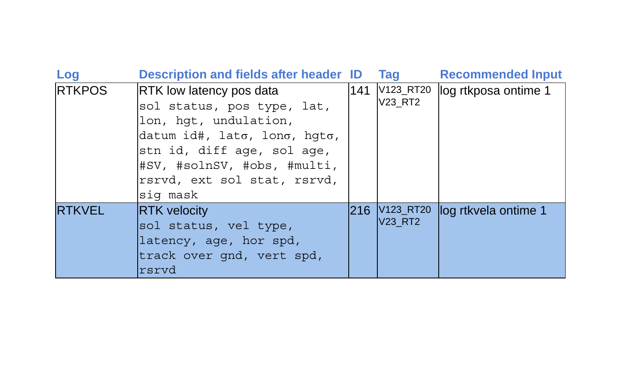| Log                   | <b>Description and fields after header ID</b>          |     | <b>Tag</b>           | <b>Recommended Input</b> |
|-----------------------|--------------------------------------------------------|-----|----------------------|--------------------------|
| <b>RTKPOS</b>         | RTK low latency pos data<br>sol status, pos type, lat, | 141 | V123_RT20<br>V23 RT2 | log rtkposa ontime 1     |
| lon, hqt, undulation, |                                                        |     |                      |                          |
|                       | datum id#, lato, lono, hqto,                           |     |                      |                          |
|                       | stn id, diff age, sol age,                             |     |                      |                          |
|                       | #SV, #solnSV, #obs, #multi,                            |     |                      |                          |
|                       | rsrvd, ext sol stat, rsrvd,                            |     |                      |                          |
|                       | sig mask                                               |     |                      |                          |
| <b>RTKVEL</b>         | <b>RTK</b> velocity                                    |     | 216 V123 RT20        | log rtkvela ontime 1     |
|                       | sol status, vel type,                                  |     | <b>V23 RT2</b>       |                          |
|                       | latency, age, hor spd,                                 |     |                      |                          |
|                       | track over gnd, vert spd,                              |     |                      |                          |
|                       | Irsrvd                                                 |     |                      |                          |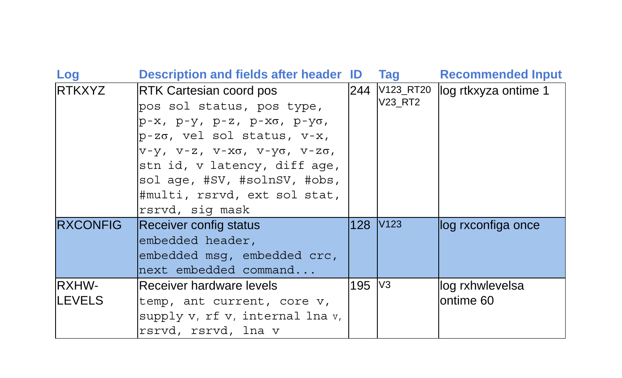| Log                    | <b>Description and fields after header ID</b>                                                                                                                                                                                                                                                            |                      | Tag                      | <b>Recommended Input</b>      |
|------------------------|----------------------------------------------------------------------------------------------------------------------------------------------------------------------------------------------------------------------------------------------------------------------------------------------------------|----------------------|--------------------------|-------------------------------|
| <b>RTKXYZ</b>          | RTK Cartesian coord pos<br>pos sol status, pos type,<br>р-х, р-у, р-z, р-хо, р-уо,<br>$p-z\sigma$ , vel sol status, v-x,<br>$V-Y$ , $V-Z$ , $V-X\sigma$ , $V-Y\sigma$ , $V-Z\sigma$ ,<br>stn id, v latency, diff age,<br>sol age, #SV, #solnSV, #obs,<br>#multi, rsrvd, ext sol stat,<br>rsrvd, sig mask |                      | 244 V123_RT20<br>V23_RT2 | log rtkxyza ontime 1          |
| <b>RXCONFIG</b>        | <b>Receiver config status</b><br>embedded header,<br>embedded msq, embedded crc,<br>next embedded command                                                                                                                                                                                                | 128 V <sub>123</sub> |                          | log rxconfiga once            |
| RXHW-<br><b>LEVELS</b> | lReceiver hardware levels<br>temp, ant current, core v,<br>supply v, rf v, internal lna v,<br>rsrvd, rsrvd, lna v                                                                                                                                                                                        | 195 V3               |                          | log rxhwlevelsa<br>lontime 60 |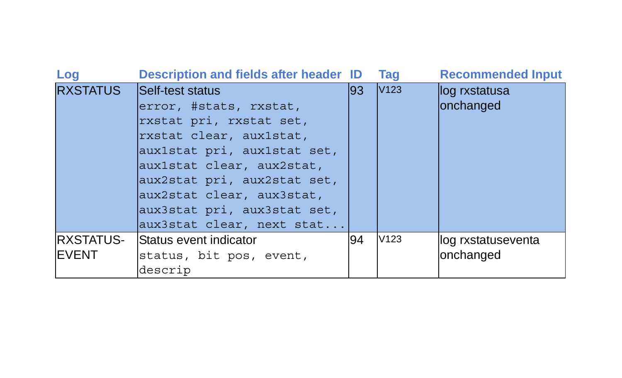| Log                         | <b>Description and fields after header ID</b>                                                                                                                                                                                                                                        |     | <b>Tag</b>       | <b>Recommended Input</b>         |
|-----------------------------|--------------------------------------------------------------------------------------------------------------------------------------------------------------------------------------------------------------------------------------------------------------------------------------|-----|------------------|----------------------------------|
| <b>RXSTATUS</b>             | Self-test status<br>error, #stats, rxstat,<br>rxstat pri, rxstat set,<br>rxstat clear, auxistat,<br>aux1stat pri, aux1stat set,<br>aux1stat clear, aux2stat,<br>aux2stat pri, aux2stat set,<br>aux2stat clear, aux3stat,<br>aux3stat pri, aux3stat set,<br>aux3stat clear, next stat | 193 | V <sub>123</sub> | log rxstatusa<br>onchanged       |
| IRXSTATUS-<br><b>IEVENT</b> | Status event indicator<br>status, bit pos, event,<br>descrip                                                                                                                                                                                                                         | 94  | V <sub>123</sub> | llog rxstatuseventa<br>onchanged |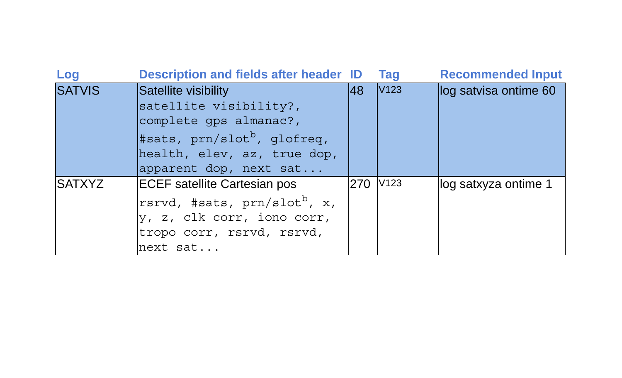| Log           | <b>Description and fields after header ID</b> |            | Tag              | <b>Recommended Input</b> |
|---------------|-----------------------------------------------|------------|------------------|--------------------------|
| <b>SATVIS</b> | Satellite visibility                          | 48         | V <sub>123</sub> | log satvisa ontime 60    |
|               | satellite visibility?,                        |            |                  |                          |
|               | complete gps almanac?,                        |            |                  |                          |
|               | #sats, $prn/slotb$ , glofreq,                 |            |                  |                          |
|               | health, elev, az, true dop,                   |            |                  |                          |
|               | apparent dop, next sat                        |            |                  |                          |
| <b>SATXYZ</b> | <b>ECEF</b> satellite Cartesian pos           | <b>270</b> | V <sub>123</sub> | log satxyza ontime 1     |
|               | rsrvd, #sats, prn/slot <sup>b</sup> , x,      |            |                  |                          |
|               | y, z, clk corr, iono corr,                    |            |                  |                          |
|               | tropo corr, rsrvd, rsrvd,                     |            |                  |                          |
|               | next sat                                      |            |                  |                          |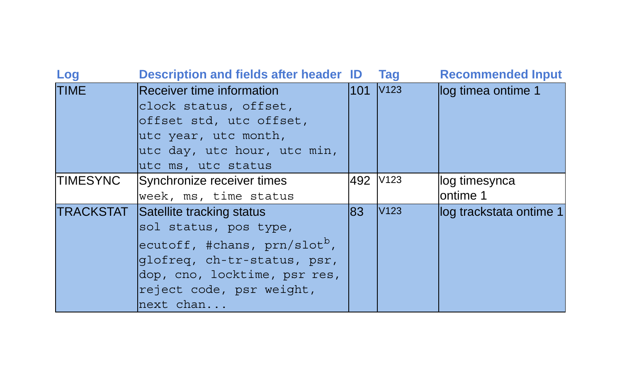| Log             | <b>Description and fields after header ID</b>                                                                                                                                                                 |          | <b>Tag</b>       | <b>Recommended Input</b>   |
|-----------------|---------------------------------------------------------------------------------------------------------------------------------------------------------------------------------------------------------------|----------|------------------|----------------------------|
| <b>TIME</b>     | Receiver time information<br>clock status, offset,<br>offset std, utc offset,<br>utc year, utc month,<br>utc day, utc hour, utc min,<br>utc ms, utc status                                                    | 101      | V123             | log timea ontime 1         |
| <b>TIMESYNC</b> | Synchronize receiver times<br>week, ms, time status                                                                                                                                                           | 492 V123 |                  | log timesynca<br>lontime 1 |
|                 | <b>TRACKSTAT</b> Satellite tracking status<br>sol status, pos type,<br>ecutoff, #chans, $prn/slotb$ ,<br>glofreg, ch-tr-status, psr,<br>dop, cno, locktime, psr res,<br>reject code, psr weight,<br>next chan | 83       | V <sub>123</sub> | log trackstata ontime 1    |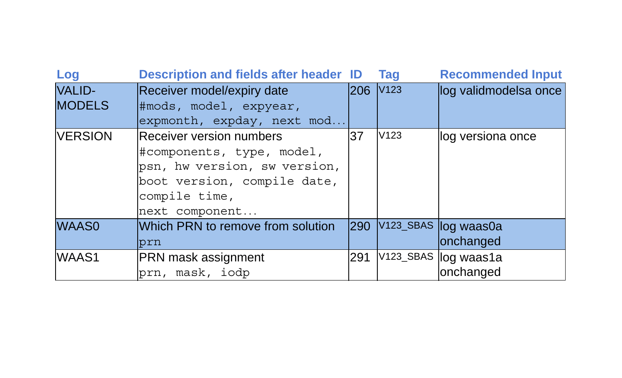| Log            | Description and fields after header ID |                      | <b>Tag</b> | <b>Recommended Input</b> |
|----------------|----------------------------------------|----------------------|------------|--------------------------|
| <b>VALID-</b>  | Receiver model/expiry date             | 206 V <sub>123</sub> |            | log validmodelsa once    |
| <b>MODELS</b>  | #mods, model, expyear,                 |                      |            |                          |
|                | expmonth, expday, next mod             |                      |            |                          |
| <b>VERSION</b> | Receiver version numbers               | 37                   | V123       | log versiona once        |
|                | #components, type, model,              |                      |            |                          |
|                | psn, hw version, sw version,           |                      |            |                          |
|                | boot version, compile date,            |                      |            |                          |
|                | compile time,                          |                      |            |                          |
|                | next component                         |                      |            |                          |
| <b>WAAS0</b>   | Which PRN to remove from solution      | 290                  |            | V123_SBAS log waas0a     |
|                | prn                                    |                      |            | onchanged                |
| WAAS1          | <b>PRN mask assignment</b>             | 291                  |            | V123_SBAS log waas1a     |
|                | prn, mask, iodp                        |                      |            | onchanged                |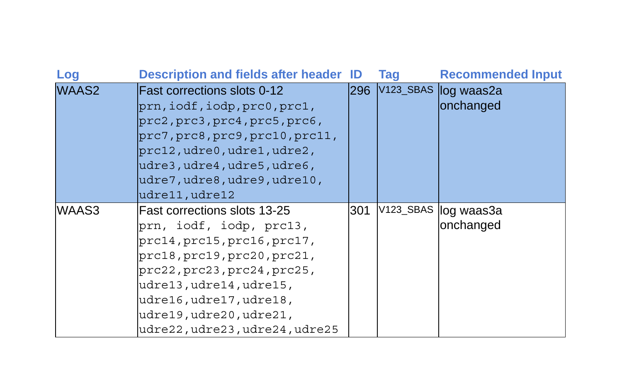| Log               | <b>Description and fields after header ID</b> |            | Taq | <b>Recommended Input</b> |
|-------------------|-----------------------------------------------|------------|-----|--------------------------|
| WAAS <sub>2</sub> | <b>IFast corrections slots 0-12</b>           | <b>296</b> |     | V123_SBAS log waas2a     |
|                   | prn, iodf, iodp, prc0, prc1,                  |            |     | onchanged                |
|                   | prc2, prc3, prc4, prc5, prc6,                 |            |     |                          |
|                   | prc7, prc8, prc9, prc10, prc11,               |            |     |                          |
|                   | $prc12$ , $udre0$ , $udre1$ , $udre2$ ,       |            |     |                          |
|                   | udre3, udre4, udre5, udre6,                   |            |     |                          |
|                   | udre7, udre8, udre9, udre10,                  |            |     |                          |
|                   | udre11, udre12                                |            |     |                          |
| WAAS3             | lFast corrections slots 13-25                 | 301        |     | V123_SBAS log waas3a     |
|                   | prn, iodf, iodp, prc13,                       |            |     | onchanged                |
|                   | prc14, prc15, prc16, prc17,                   |            |     |                          |
|                   | prc18, prc19, prc20, prc21,                   |            |     |                          |
|                   | prc22, prc23, prc24, prc25,                   |            |     |                          |
|                   | udre13, udre14, udre15,                       |            |     |                          |
|                   | udre16, udre17, udre18,                       |            |     |                          |
|                   | udre19, udre20, udre21,                       |            |     |                          |
|                   | udre22,udre23,udre24,udre25                   |            |     |                          |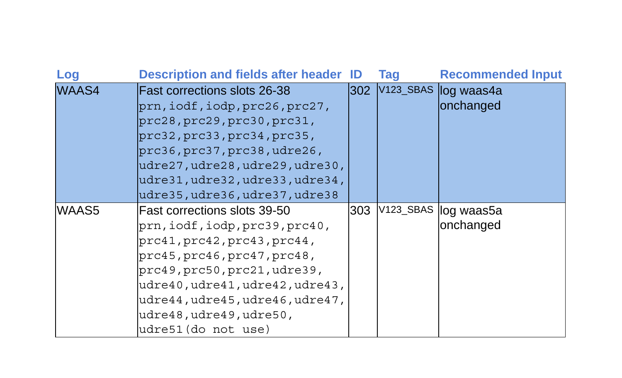| Log          | Description and fields after header ID |     | Taq | <b>Recommended Input</b> |
|--------------|----------------------------------------|-----|-----|--------------------------|
| <b>WAAS4</b> | <b>IFast corrections slots 26-38</b>   | 302 |     | V123_SBAS log waas4a     |
|              | prn, iodf, iodp, prc26, prc27,         |     |     | onchanged                |
|              | prc28, prc29, prc30, prc31,            |     |     |                          |
|              | prc32, prc33, prc34, prc35,            |     |     |                          |
|              | prc36, prc37, prc38, udre26,           |     |     |                          |
|              | udre27,udre28,udre29,udre30,           |     |     |                          |
|              | udre31, udre32, udre33, udre34,        |     |     |                          |
|              | udre35, udre36, udre37, udre38         |     |     |                          |
| WAAS5        | lFast corrections slots 39-50          | 303 |     | V123_SBAS log waas5a     |
|              | prn, iodf, iodp, prc39, prc40,         |     |     | onchanged                |
|              | prc41, prc42, prc43, prc44,            |     |     |                          |
|              | prc45, prc46, prc47, prc48,            |     |     |                          |
|              | prc49, prc50, prc21, udre39,           |     |     |                          |
|              | udre40,udre41,udre42,udre43,           |     |     |                          |
|              | udre44, udre45, udre46, udre47,        |     |     |                          |
|              | udre48, udre49, udre50,                |     |     |                          |
|              | udre51(do not use)                     |     |     |                          |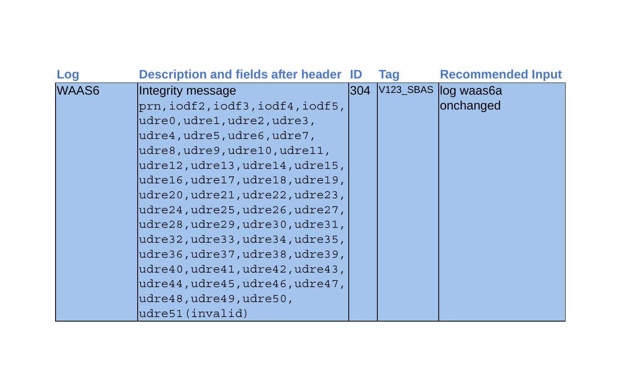| Log          | <b>Description and fields after header ID</b> |     | <b>Tag</b> | <b>Recommended Input</b> |
|--------------|-----------------------------------------------|-----|------------|--------------------------|
| <b>WAAS6</b> | Integrity message                             | 304 |            | V123_SBAS log waas6a     |
|              | prn, iodf2, iodf3, iodf4, iodf5,              |     |            | onchanged                |
|              | udre0, udre1, udre2, udre3,                   |     |            |                          |
|              | udre4, udre5, udre6, udre7,                   |     |            |                          |
|              | udre8,udre9,udre10,udre11,                    |     |            |                          |
|              | udre12, udre13, udre14, udre15,               |     |            |                          |
|              | udre16, udre17, udre18, udre19,               |     |            |                          |
|              | udre20,udre21,udre22,udre23,                  |     |            |                          |
|              | udre24, udre25, udre26, udre27,               |     |            |                          |
|              | udre28,udre29,udre30,udre31,                  |     |            |                          |
|              | udre32,udre33,udre34,udre35,                  |     |            |                          |
|              | udre36, udre37, udre38, udre39,               |     |            |                          |
|              | udre40,udre41,udre42,udre43,                  |     |            |                          |
|              | udre44,udre45,udre46,udre47,                  |     |            |                          |
|              | udre48, udre49, udre50,                       |     |            |                          |
|              | udre51(invalid)                               |     |            |                          |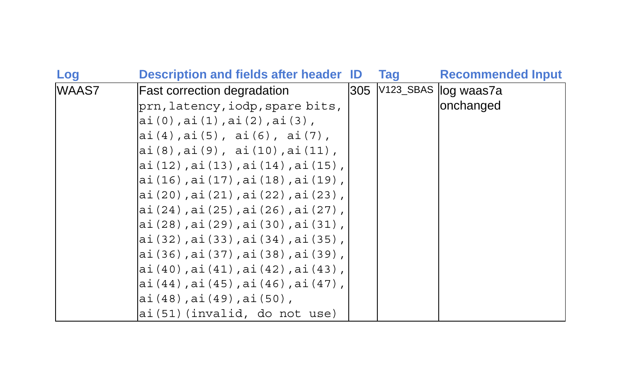| Log   | <b>Description and fields after header ID</b> | <b>Tag</b> | <b>Recommended Input</b> |
|-------|-----------------------------------------------|------------|--------------------------|
| WAAS7 | <b>Fast correction degradation</b>            |            | 305 V123_SBAS log waas7a |
|       | prn, latency, iodp, spare bits,               |            | onchanged                |
|       | ai(0), ai(1), ai(2), ai(3),                   |            |                          |
|       | ai(4), ai(5), ai(6), ai(7),                   |            |                          |
|       | ai(8), ai(9), ai(10), ai(11),                 |            |                          |
|       | ai(12), ai(13), ai(14), ai(15),               |            |                          |
|       | ai(16), ai(17), ai(18), ai(19),               |            |                          |
|       | ai(20), ai(21), ai(22), ai(23),               |            |                          |
|       | ai (24), ai (25), ai (26), ai (27),           |            |                          |
|       | ai(28), ai(29), ai(30), ai(31),               |            |                          |
|       | ai (32), ai (33), ai (34), ai (35),           |            |                          |
|       | ai(36),ai(37),ai(38),ai(39),                  |            |                          |
|       | ai(40), ai(41), ai(42), ai(43),               |            |                          |
|       | ai(44), ai(45), ai(46), ai(47),               |            |                          |
|       | ai(48), ai(49), ai(50),                       |            |                          |
|       | ai (51) (invalid, do not use)                 |            |                          |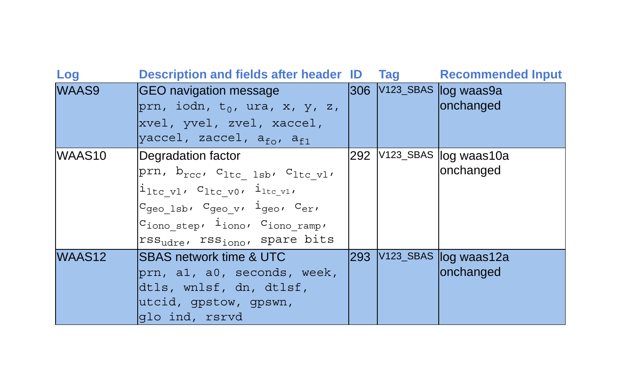| Log                | Description and fields after header ID Tag                                                                                                                                                                                                                                                                                    |     | <b>Recommended Input</b>              |
|--------------------|-------------------------------------------------------------------------------------------------------------------------------------------------------------------------------------------------------------------------------------------------------------------------------------------------------------------------------|-----|---------------------------------------|
| <b>WAAS9</b>       | GEO navigation message<br>prn, iodn, $t_0$ , ura, x, y, z,<br>xvel, yvel, zvel, xaccel,<br>yaccel, zaccel, a <sub>fo</sub> , a <sub>f1</sub>                                                                                                                                                                                  |     | 306 V123_SBAS log waas9a<br>onchanged |
| WAAS <sub>10</sub> | Degradation factor<br>prn, b <sub>rcc</sub> , C <sub>ltc</sub> lsb, C <sub>ltc_vl</sub> ,<br>$i_{\text{ltc v1}}$ , $c_{\text{ltc v0}}$ , $i_{\text{ltc v1}}$<br>Cgeo 1sb, Cgeo v, 1geo, Cer,<br>$c_{\text{iono step}}$ , $i_{\text{iono}}$ , $c_{\text{iono ramp}}$<br>rss <sub>udre</sub> , rss <sub>iono</sub> , spare bits | 292 | V123_SBAS log waas10a<br>onchanged    |
| WAAS <sub>12</sub> | <b>ISBAS network time &amp; UTC</b><br>prn, al, a0, seconds, week,<br>dtls, wnlsf, dn, dtlsf,<br>utcid, gpstow, gpswn,<br>qlo ind, rsrvd                                                                                                                                                                                      | 293 | V123_SBAS log waas12a<br>onchanged    |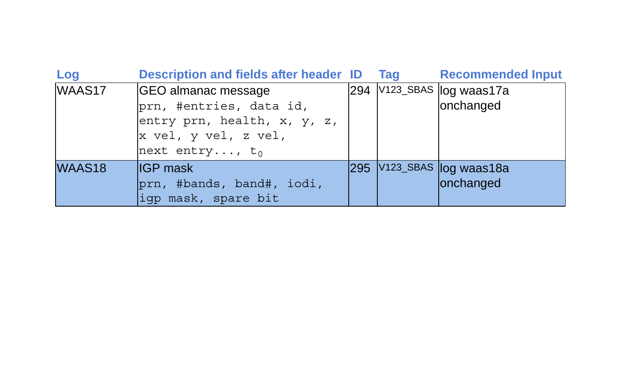| Log    | <b>Description and fields after header ID</b>                                                         | <b>Tag</b> | <b>Recommended Input</b>               |
|--------|-------------------------------------------------------------------------------------------------------|------------|----------------------------------------|
| WAAS17 | GEO almanac message<br>prn, #entries, data id,<br>entry prn, health, x, y, z,<br>x vel, y vel, z vel, |            | 294 V123_SBAS log waas17a<br>onchanged |
|        | next entry, $t_0$                                                                                     |            |                                        |
| WAAS18 | <b>IIGP</b> mask<br>prn, #bands, band#, iodi,<br>iqp mask, spare bit                                  |            | 295 V123_SBAS log waas18a<br>onchanged |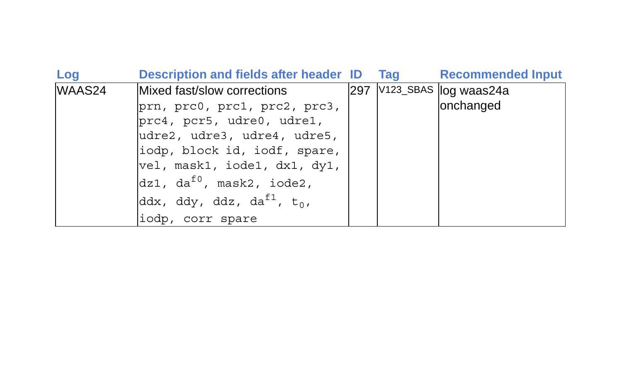| Log    | Description and fields after header ID             |     | <b>Tag</b> | <b>Recommended Input</b> |
|--------|----------------------------------------------------|-----|------------|--------------------------|
| WAAS24 | Mixed fast/slow corrections                        | 297 |            | V123_SBAS log waas24a    |
|        | prn, prc0, prc1, prc2, prc3,                       |     |            | onchanged                |
|        | prc4, pcr5, udre0, udre1,                          |     |            |                          |
|        | udre2, udre3, udre4, udre5,                        |     |            |                          |
|        | iodp, block id, iodf, spare,                       |     |            |                          |
|        | vel, mask1, iode1, dx1, dy1,                       |     |            |                          |
|        | $dz1$ , da <sup>f0</sup> , mask2, iode2,           |     |            |                          |
|        | ddx, ddy, ddz, da <sup>f1</sup> , t <sub>0</sub> , |     |            |                          |
|        | liodp, corr spare                                  |     |            |                          |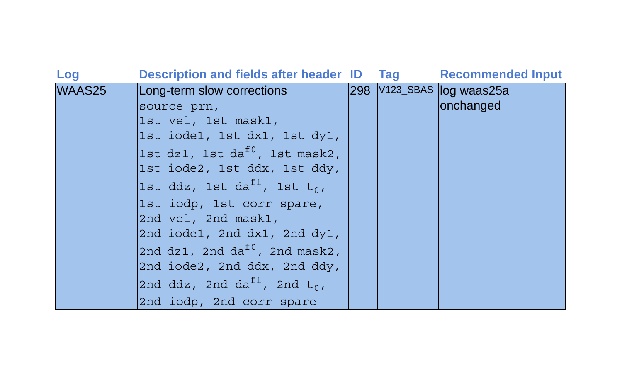| Log    | Description and fields after header ID Tag           |  | <b>Recommended Input</b>  |
|--------|------------------------------------------------------|--|---------------------------|
| WAAS25 | Long-term slow corrections                           |  | 298 V123_SBAS log waas25a |
|        | source prn,                                          |  | onchanged                 |
|        | 1st vel, 1st mask1,                                  |  |                           |
|        | 1st iode1, 1st dx1, 1st dy1,                         |  |                           |
|        | 1st dz1, 1st da $^{f0}$ , 1st mask2,                 |  |                           |
|        | 1st iode2, 1st ddx, 1st ddy,                         |  |                           |
|        | 1st ddz, 1st da <sup>f1</sup> , 1st t <sub>0</sub> , |  |                           |
|        | 1st iodp, 1st corr spare,                            |  |                           |
|        | 2nd vel, 2nd mask1,                                  |  |                           |
|        | $2nd$ iode1, 2nd $dx1$ , 2nd $dy1$ ,                 |  |                           |
|        | 2nd dz1, 2nd da $^{10}$ , 2nd mask2,                 |  |                           |
|        | 2nd iode2, 2nd ddx, 2nd ddy,                         |  |                           |
|        | 2nd ddz, 2nd da <sup>f1</sup> , 2nd t <sub>0</sub> , |  |                           |
|        | 2nd iodp, 2nd corr spare                             |  |                           |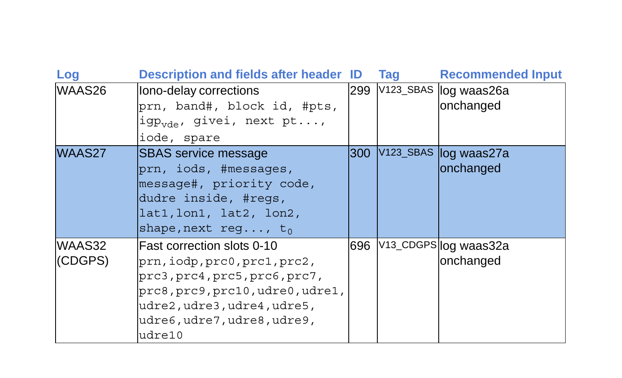| Log     | <b>Description and fields after header ID</b> |     | Taq | <b>Recommended Input</b>          |
|---------|-----------------------------------------------|-----|-----|-----------------------------------|
| WAAS26  | lono-delay corrections                        | 299 |     | V123_SBAS log waas26a             |
|         | prn, band#, block id, #pts,                   |     |     | onchanged                         |
|         | igp <sub>vde</sub> , givei, next pt,          |     |     |                                   |
|         | iode, spare                                   |     |     |                                   |
| WAAS27  | ISBAS service message                         | 300 |     | V123_SBAS log waas27a             |
|         | prn, iods, #messages,                         |     |     | onchanged                         |
|         | message#, priority code,                      |     |     |                                   |
|         | dudre inside, #regs,                          |     |     |                                   |
|         | lat1, lon1, lat2, lon2,                       |     |     |                                   |
|         | shape, next req, $t_0$                        |     |     |                                   |
| WAAS32  | lFast correction slots 0-10                   | 696 |     | V <sub>13_CDGPS</sub> log waas32a |
| (CDGPS) | prn,iodp,prc0,prc1,prc2,                      |     |     | onchanged                         |
|         | prc3, prc4, prc5, prc6, prc7,                 |     |     |                                   |
|         | prc8, prc9, prc10, udre0, udre1,              |     |     |                                   |
|         | udre2, udre3, udre4, udre5,                   |     |     |                                   |
|         | udre6,udre7,udre8,udre9,                      |     |     |                                   |
|         | udre10                                        |     |     |                                   |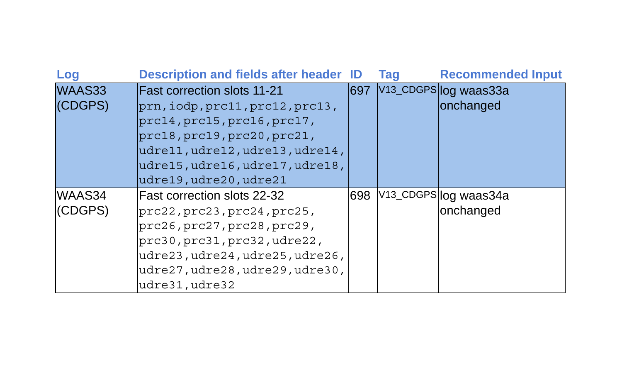| Log     | <b>Description and fields after header ID</b> |      | Tag | <b>Recommended Input</b> |
|---------|-----------------------------------------------|------|-----|--------------------------|
| WAAS33  | <b>Fast correction slots 11-21</b>            | 1697 |     | V13_CDGPS log waas33a    |
| (CDGPS) | $prn, i$ odp, $prc11, prc12, prc13,$          |      |     | onchanged                |
|         | prc14, prc15, prc16, prc17,                   |      |     |                          |
|         | prc18, prc19, prc20, prc21,                   |      |     |                          |
|         | udre11, udre12, udre13, udre14,               |      |     |                          |
|         | udre15, udre16, udre17, udre18,               |      |     |                          |
|         | udre19,udre20,udre21                          |      |     |                          |
| WAAS34  | <b>Fast correction slots 22-32</b>            | 698  |     | V13_CDGPS log waas34a    |
| (CDGPS) | prc22, prc23, prc24, prc25,                   |      |     | onchanged                |
|         | prc26, prc27, prc28, prc29,                   |      |     |                          |
|         | prc30, prc31, prc32, udre22,                  |      |     |                          |
|         | udre23, udre24, udre25, udre26,               |      |     |                          |
|         | udre27, udre28, udre29, udre30,               |      |     |                          |
|         | udre31, udre32                                |      |     |                          |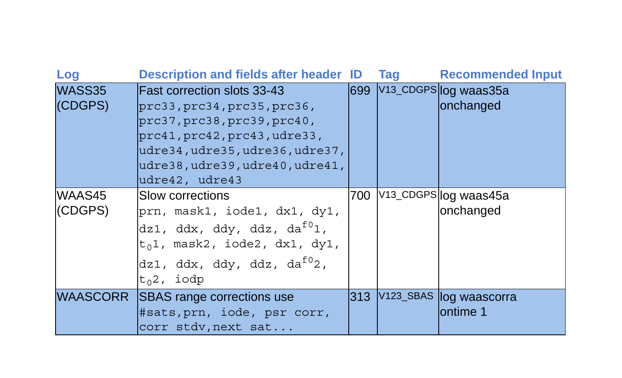| Log               | <b>Description and fields after header ID</b>                                                                                                                                                                         |        | Tag | <b>Recommended Input</b>               |
|-------------------|-----------------------------------------------------------------------------------------------------------------------------------------------------------------------------------------------------------------------|--------|-----|----------------------------------------|
| WASS35<br>(CDGPS) | <b>Fast correction slots 33-43</b><br>prc33, prc34, prc35, prc36,<br>prc37, prc38, prc39, prc40,<br>prc41, prc42, prc43, udre33,<br>udre34, udre35, udre36, udre37,<br>udre38,udre39,udre40,udre41,<br>udre42, udre43 |        |     | 699 V13_CDGPS log waas35a<br>onchanged |
| WAAS45<br>(CDGPS) | <b>ISlow corrections</b><br>prn, mask1, iode1, dx1, dy1,<br>dz1, ddx, ddy, ddz, da <sup>f0</sup> 1,<br>$t_0$ 1, mask2, iode2, dx1, dy1,<br>dz1, ddx, ddy, ddz, da <sup>f0</sup> 2,<br>$ t_{0}2$ , iodp                | 700    |     | V13_CDGPS log waas45a<br>onchanged     |
|                   | WAASCORR SBAS range corrections use<br>#sats, prn, iode, psr corr,<br>corr stdv, next sat                                                                                                                             | l313 I |     | V123_SBAS log waascorra<br>lontime 1   |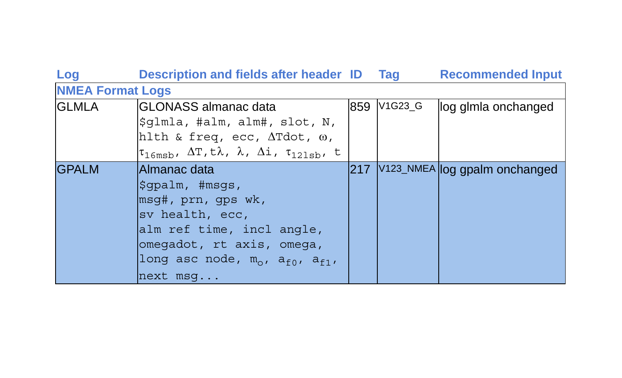| Log                     | Description and fields after header ID Tag                                                                                                                 |               |             | <b>Recommended Input</b>      |
|-------------------------|------------------------------------------------------------------------------------------------------------------------------------------------------------|---------------|-------------|-------------------------------|
| <b>NMEA Format Logs</b> |                                                                                                                                                            |               |             |                               |
| <b>GLMLA</b>            | <b>IGLONASS</b> almanac data                                                                                                                               |               | 859 V1G23_G | llog glmla onchanged          |
|                         | $\text{\%}$ dlmla, #alm, alm#, slot, N,                                                                                                                    |               |             |                               |
|                         | hlth & freq, ecc, $\Delta Tdot$ , $\omega$ ,                                                                                                               |               |             |                               |
|                         | $\uparrow_{16\mathfrak{msb}}$ , $\Delta\texttt{T}, \texttt{t}\lambda$ , $\lambda$ , $\Delta\texttt{i}$ , $\texttt{\tau}_{121\mathfrak{sb}}$ , $\texttt{t}$ |               |             |                               |
| <b>IGPALM</b>           | lAlmanac data                                                                                                                                              | $ 217\rangle$ |             | V123_NMEA log gpalm onchanged |
|                         | sqpalm, #msqs,                                                                                                                                             |               |             |                               |
|                         | msg#, prn, gps wk,                                                                                                                                         |               |             |                               |
|                         | sv health, ecc,                                                                                                                                            |               |             |                               |
|                         | alm ref time, incl angle,                                                                                                                                  |               |             |                               |
|                         | omegadot, rt axis, omega,                                                                                                                                  |               |             |                               |
|                         | long asc node, $m_o$ , $a_{f0}$ , $a_{f1}$ ,                                                                                                               |               |             |                               |
|                         | next msq                                                                                                                                                   |               |             |                               |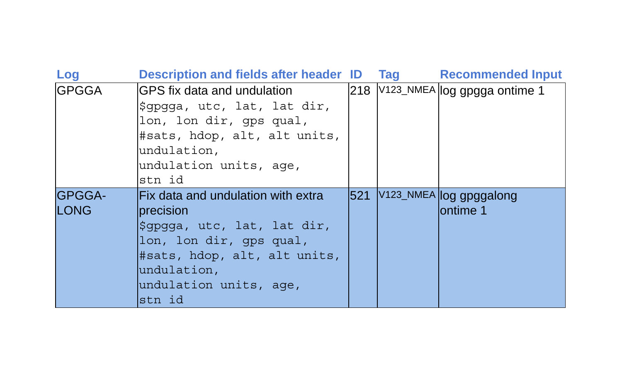| Log           | <b>Description and fields after header ID</b> |      | Tag | <b>Recommended Input</b>         |
|---------------|-----------------------------------------------|------|-----|----------------------------------|
| <b>GPGGA</b>  | GPS fix data and undulation                   |      |     | 218 V123_NMEA log gpgga ontime 1 |
|               | \$qpqqa, utc, lat, lat dir,                   |      |     |                                  |
|               | lon, lon dir, qps qual,                       |      |     |                                  |
|               | #sats, hdop, alt, alt units,                  |      |     |                                  |
|               | undulation,                                   |      |     |                                  |
|               | undulation units, age,                        |      |     |                                  |
|               | stn id                                        |      |     |                                  |
| <b>GPGGA-</b> | <b>Fix data and undulation with extral</b>    | 1521 |     | V123_NMEA log gpggalong          |
| <b>LONG</b>   | Iprecision                                    |      |     | lontime 1                        |
|               | Şqpqqa, utc, lat, lat dir,                    |      |     |                                  |
|               | lon, lon dir, qps qual,                       |      |     |                                  |
|               | #sats, hdop, alt, alt units,                  |      |     |                                  |
|               | undulation,                                   |      |     |                                  |
|               | undulation units, age,                        |      |     |                                  |
|               | stn id                                        |      |     |                                  |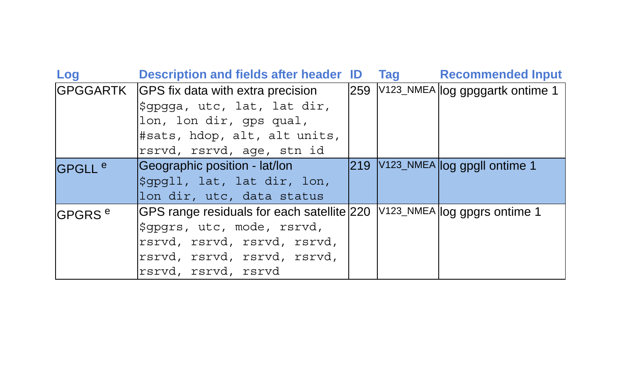| Log                | Description and fields after header ID     | <b>Tag</b> | <b>Recommended Input</b>               |
|--------------------|--------------------------------------------|------------|----------------------------------------|
|                    | GPGGARTK GPS fix data with extra precision |            | 259 V123_NMEA log gpggartk ontime 1    |
|                    | \$qpqqa, utc, lat, lat dir,                |            |                                        |
|                    | lon, lon dir, qps qual,                    |            |                                        |
|                    | #sats, hdop, alt, alt units,               |            |                                        |
|                    | rsrvd, rsrvd, age, stn id                  |            |                                        |
| GPGLL <sup>e</sup> | Geographic position - lat/lon              |            | 219 V123_NMEA log gpgll ontime 1       |
|                    | \$gpgll, lat, lat dir, lon,                |            |                                        |
|                    | lon dir, utc, data status                  |            |                                        |
| GPGRS <sup>e</sup> | GPS range residuals for each satellite 220 |            | $\sqrt{V}$ 123_NMEA log gpgrs ontime 1 |
|                    | \$gpgrs, utc, mode, rsrvd,                 |            |                                        |
|                    | rsrvd, rsrvd, rsrvd, rsrvd,                |            |                                        |
|                    | rsrvd, rsrvd, rsrvd, rsrvd,                |            |                                        |
|                    | rsrvd, rsrvd, rsrvd                        |            |                                        |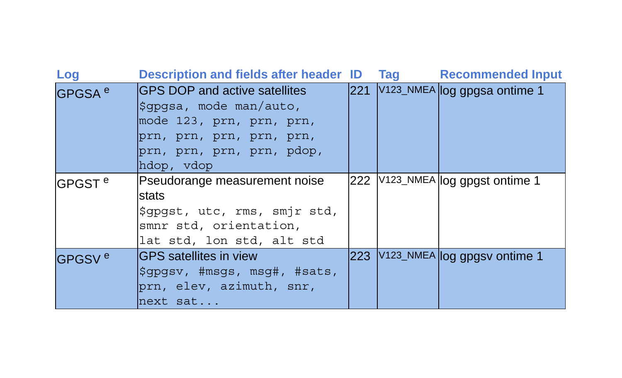| Log                 | <b>Description and fields after header ID</b> |      | <b>Tag</b> | <b>Recommended Input</b>           |
|---------------------|-----------------------------------------------|------|------------|------------------------------------|
| GPGSA <sup>e</sup>  | <b>IGPS DOP and active satellites</b>         | l221 |            | V123_NMEA log gpgsa ontime 1       |
|                     | Sqpqsa, mode man/auto,                        |      |            |                                    |
|                     | mode 123, prn, prn, prn,                      |      |            |                                    |
|                     | prn, prn, prn, prn, prn,                      |      |            |                                    |
|                     | prn, prn, prn, prn, pdop,<br>hdop, vdop       |      |            |                                    |
| lGPGST <sup>e</sup> | Pseudorange measurement noise                 |      |            | 222   V123_NMEA log gpgst ontime 1 |
|                     | lstats                                        |      |            |                                    |
|                     | \$gpgst, utc, rms, smjr std,                  |      |            |                                    |
|                     | smnr std, orientation,                        |      |            |                                    |
|                     | lat std, lon std, alt std                     |      |            |                                    |
| GPGSV <sup>e</sup>  | <b>IGPS</b> satellites in view                |      |            | 223 V123_NMEA log gpgsv ontime 1   |
|                     | Sqpqsv, #msqs, msq#, #sats,                   |      |            |                                    |
|                     | prn, elev, azimuth, snr,                      |      |            |                                    |
|                     | next sat                                      |      |            |                                    |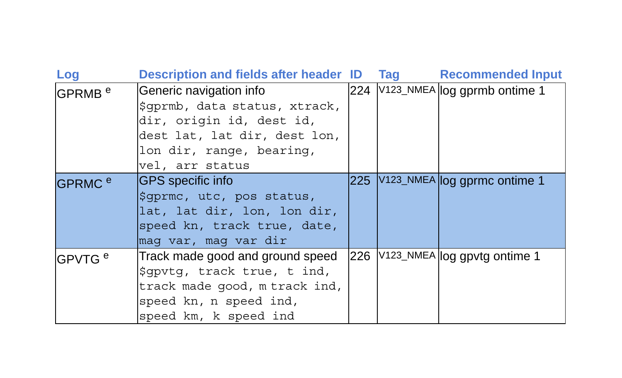| Log                | <b>Description and fields after header ID</b> |     | Tag | <b>Recommended Input</b>         |
|--------------------|-----------------------------------------------|-----|-----|----------------------------------|
| GPRMB <sup>e</sup> | Generic navigation info                       |     |     | 224 V123_NMEA log gprmb ontime 1 |
|                    | \$qprmb, data status, xtrack,                 |     |     |                                  |
|                    | dir, origin id, dest id,                      |     |     |                                  |
|                    | dest lat, lat dir, dest lon,                  |     |     |                                  |
|                    | lon dir, range, bearing,                      |     |     |                                  |
|                    | vel, arr status                               |     |     |                                  |
| GPRMC <sup>e</sup> | <b>GPS</b> specific info                      |     |     | 225 V123_NMEA log gprmc ontime 1 |
|                    | Syprme, utc, pos status,                      |     |     |                                  |
|                    | lat, lat dir, lon, lon dir,                   |     |     |                                  |
|                    | speed kn, track true, date,                   |     |     |                                  |
|                    | mag var, mag var dir                          |     |     |                                  |
| GPVTG <sup>e</sup> | Track made good and ground speed              | 226 |     | V123_NMEA log gpvtg ontime 1     |
|                    | sqpvtq, track true, t ind,                    |     |     |                                  |
|                    | track made good, m track ind,                 |     |     |                                  |
|                    | speed kn, n speed ind,                        |     |     |                                  |
|                    | speed km, k speed ind                         |     |     |                                  |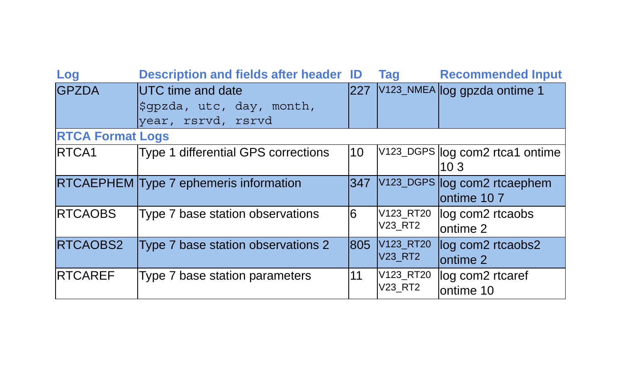| Log                     | <b>Description and fields after header ID</b>                               |      | <b>Tag</b>                                          | <b>Recommended Input</b>                   |
|-------------------------|-----------------------------------------------------------------------------|------|-----------------------------------------------------|--------------------------------------------|
| <b>GPZDA</b>            | <b>IUTC</b> time and date<br>Sqpzda, utc, day, month,<br>year, rsrvd, rsrvd | 1227 |                                                     | V123_NMEA log gpzda ontime 1               |
| <b>RTCA Format Logs</b> |                                                                             |      |                                                     |                                            |
| RTCA1                   | Type 1 differential GPS corrections                                         | 10   |                                                     | V123_DGPS log com2 rtca1 ontime<br>103     |
|                         | RTCAEPHEM Type 7 ephemeris information                                      | 347  |                                                     | V123_DGPS log com2 rtcaephem<br>ontime 107 |
| <b>RTCAOBS</b>          | Type 7 base station observations                                            | 6    | V123_RT20<br><b>V23 RT2</b>                         | log com2 rtcaobs<br>lontime 2              |
| RTCAOBS2                | Type 7 base station observations 2                                          | 805  | V <sub>123</sub> RT <sub>20</sub><br><b>V23 RT2</b> | log com2 rtcaobs2<br>ontime 2              |
| <b>RTCAREF</b>          | Type 7 base station parameters                                              | 11   | V123_RT20<br><b>V23 RT2</b>                         | log com2 rtcaref<br>ontime 10              |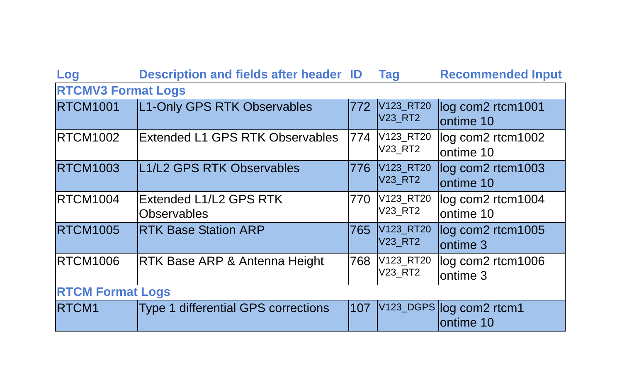| Log                       | <b>Description and fields after header ID</b> |      | <b>Tag</b>                  | <b>Recommended Input</b>              |  |  |
|---------------------------|-----------------------------------------------|------|-----------------------------|---------------------------------------|--|--|
| <b>RTCMV3 Format Logs</b> |                                               |      |                             |                                       |  |  |
| <b>RTCM1001</b>           | L1-Only GPS RTK Observables                   | 772  | V123_RT20<br><b>V23_RT2</b> | log com2 rtcm1001<br>lontime 10       |  |  |
| <b>RTCM1002</b>           | <b>Extended L1 GPS RTK Observables</b>        | 774  | V123_RT20<br>V23_RT2        | log com2 rtcm1002<br>ontime 10        |  |  |
| <b>RTCM1003</b>           | L1/L2 GPS RTK Observables                     | 1776 | V123_RT20<br><b>V23_RT2</b> | log com2 rtcm1003<br>lontime 10       |  |  |
| <b>RTCM1004</b>           | Extended L1/L2 GPS RTK<br><b>Observables</b>  | 770  | V123 RT20<br>V23 RT2        | log com2 rtcm1004<br>ontime 10        |  |  |
| <b>RTCM1005</b>           | <b>RTK Base Station ARP</b>                   | 765  | V123_RT20<br><b>V23 RT2</b> | log com2 rtcm1005<br>ontime 3         |  |  |
| <b>RTCM1006</b>           | RTK Base ARP & Antenna Height                 | 768  | V123_RT20<br>V23_RT2        | log com2 rtcm1006<br>ontime 3         |  |  |
| <b>RTCM Format Logs</b>   |                                               |      |                             |                                       |  |  |
| RTCM <sub>1</sub>         | Type 1 differential GPS corrections           | 107  |                             | V123_DGPS log com2 rtcm1<br>ontime 10 |  |  |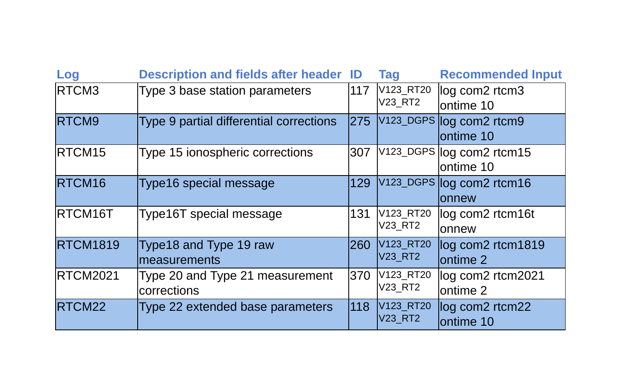| Log                | <b>Description and fields after header ID</b>  |       | <b>Tag</b>                  | <b>Recommended Input</b>               |
|--------------------|------------------------------------------------|-------|-----------------------------|----------------------------------------|
| RTCM3              | Type 3 base station parameters                 | 117   | V123_RT20<br>V23 RT2        | log com2 rtcm3<br>ontime 10            |
| RTCM9              | Type 9 partial differential corrections        | l275  |                             | V123_DGPS log com2 rtcm9<br>ontime 10  |
| RTCM <sub>15</sub> | Type 15 ionospheric corrections                | 307   |                             | V123_DGPS log com2 rtcm15<br>ontime 10 |
| RTCM <sub>16</sub> | Type16 special message                         | 129   |                             | V123_DGPS log com2 rtcm16<br>lonnew    |
| RTCM16T            | Type16T special message                        | 131   | V123_RT20<br><b>V23 RT2</b> | log com2 rtcm16t<br>onnew              |
| <b>RTCM1819</b>    | Type18 and Type 19 raw<br>measurements         | 1260. | V123_RT20<br><b>V23 RT2</b> | log com2 rtcm1819<br>ontime 2          |
| <b>RTCM2021</b>    | Type 20 and Type 21 measurement<br>corrections | 370   | V123_RT20<br>V23 RT2        | log com2 rtcm2021<br>lontime 2         |
| RTCM22             | Type 22 extended base parameters               | 118   | V123_RT20<br>V23 RT2        | log com2 rtcm22<br>lontime 10          |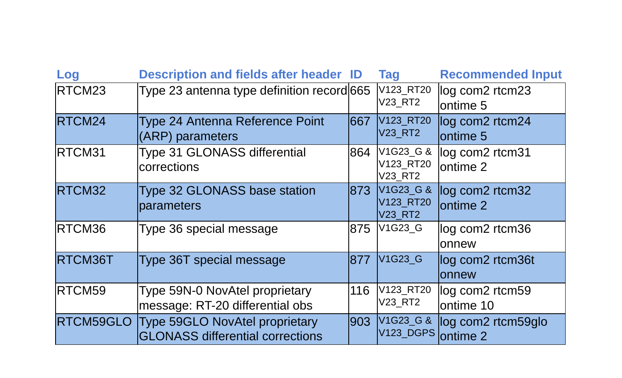| Log           | <b>Description and fields after header ID</b>                             |       | <b>Tag</b>                               | <b>Recommended Input</b>                  |
|---------------|---------------------------------------------------------------------------|-------|------------------------------------------|-------------------------------------------|
| RTCM23        | Type 23 antenna type definition record 665                                |       | V123_RT20<br>V23 RT2                     | log com2 rtcm23<br>ontime <sub>5</sub>    |
| RTCM24        | Type 24 Antenna Reference Point<br>(ARP) parameters                       | 1667  | V123_RT20<br><b>V23_RT2</b>              | log com2 rtcm24<br>lontime 5              |
| RTCM31        | Type 31 GLONASS differential<br>corrections                               | 864   | V1G23_G &<br>V123_RT20<br>V23_RT2        | log com2 rtcm31<br>lontime 2              |
| RTCM32        | Type 32 GLONASS base station<br>parameters                                | 1873. | V1G23_G &<br>V123 RT20<br><b>V23 RT2</b> | log com2 rtcm32<br>lontime 2              |
| <b>RTCM36</b> | Type 36 special message                                                   | 875   | V1G23 G                                  | log com2 rtcm36<br>onnew                  |
| RTCM36T       | Type 36T special message                                                  | 1877  | V <sub>1</sub> G <sub>23</sub> G         | log com2 rtcm36t<br>lonnew                |
| RTCM59        | Type 59N-0 NovAtel proprietary<br>message: RT-20 differential obs         | 116   | V123_RT20<br>V23_RT2                     | log com2 rtcm59<br>ontime 10              |
| RTCM59GLO     | Type 59GLO NovAtel proprietary<br><b>GLONASS differential corrections</b> | 1903. | V1G23_G &<br>V123_DGPS                   | log com2 rtcm59glo<br>ontime <sub>2</sub> |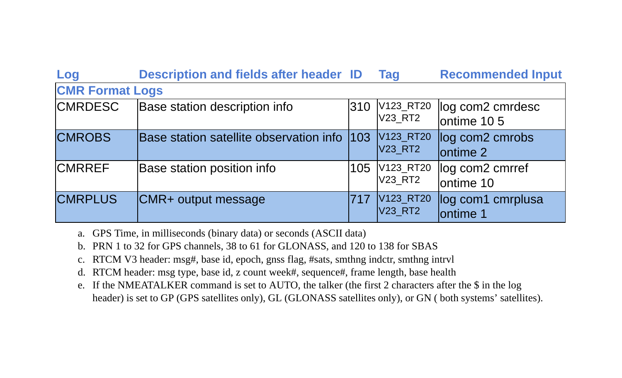| Log                    | <b>Description and fields after header ID</b> |      | Tag                         | <b>Recommended Input</b>                            |  |  |
|------------------------|-----------------------------------------------|------|-----------------------------|-----------------------------------------------------|--|--|
| <b>CMR Format Logs</b> |                                               |      |                             |                                                     |  |  |
| <b>CMRDESC</b>         | Base station description info                 | 310  | V123_RT20<br>V23 RT2        | log com2 cmrdesc<br>ontime 10 5                     |  |  |
| <b>CMROBS</b>          | Base station satellite observation info       | 1103 | V123_RT20<br>V23 RT2        | log com <sub>2</sub> cmrobs<br>lontime <sub>2</sub> |  |  |
| <b>CMRREF</b>          | Base station position info                    | 105  | V123_RT20<br>V23 RT2        | log com2 cmrref<br>ontime 10                        |  |  |
| <b>CMRPLUS</b>         | CMR+ output message                           | 1717 | V123_RT20<br><b>V23 RT2</b> | log com1 cmrplusa<br>ontime 1                       |  |  |

- a. GPS Time, in milliseconds (binary data) or seconds (ASCII data)
- b. PRN 1 to 32 for GPS channels, 38 to 61 for GLONASS, and 120 to 138 for SBAS
- c. RTCM V3 header: msg#, base id, epoch, gnss flag, #sats, smthng indctr, smthng intrvl
- d. RTCM header: msg type, base id, z count week#, sequence#, frame length, base health
- e. If the NMEATALKER command is set to AUTO, the talker (the first 2 characters after the \$ in the log header) is set to GP (GPS satellites only), GL (GLONASS satellites only), or GN ( both systems' satellites).